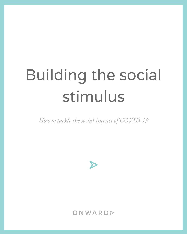# Building the social stimulus

*How to tackle the social impact of COVID-19*



## ONWARD>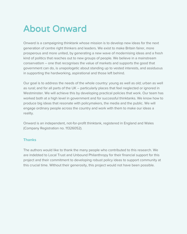## About Onward

Onward is a campaigning thinktank whose mission is to develop new ideas for the next generation of centre right thinkers and leaders. We exist to make Britain fairer, more prosperous and more united, by generating a new wave of modernising ideas and a fresh kind of politics that reaches out to new groups of people. We believe in a mainstream conservatism – one that recognises the value of markets and supports the good that government can do, is unapologetic about standing up to vested interests, and assiduous in supporting the hardworking, aspirational and those left behind.

Our goal is to address the needs of the whole country: young as well as old; urban as well as rural; and for all parts of the UK – particularly places that feel neglected or ignored in Westminster. We will achieve this by developing practical policies that work. Our team has worked both at a high level in government and for successful thinktanks. We know how to produce big ideas that resonate with policymakers, the media and the public. We will engage ordinary people across the country and work with them to make our ideas a reality.

Onward is an independent, not-for-profit thinktank, registered in England and Wales (Company Registration no. 11326052).

#### **Thanks**

The authors would like to thank the many people who contributed to this research. We are indebted to Local Trust and Unbound Philanthropy for their financial support for this project and their commitment to developing robust policy ideas to support community at this crucial time. Without their generosity, this project would not have been possible.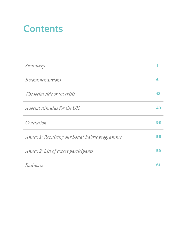## **Contents**

| Summary                                        |    |
|------------------------------------------------|----|
| Recommendations                                | R  |
| The social side of the crisis                  | 12 |
| A social stimulus for the UK                   | 40 |
| Conclusion                                     | 53 |
| Annex 1: Repairing our Social Fabric programme | 55 |
| Annex 2: List of expert participants           | 59 |
| Endnotes                                       | 61 |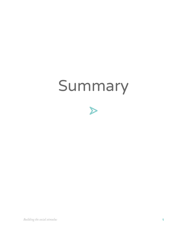## Summary



*Building the social stimulus* **1**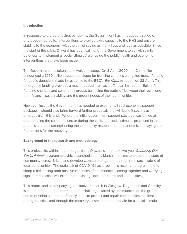#### **Introduction**

In response to the coronavirus pandemic, the Government has introduced a range of unprecedented policy interventions to provide extra capacity to the NHS and ensure stability to the economy, with the aim of saving as many lives and jobs as possible. Since the start of the crisis, Onward has been calling for the Government to act with similar boldness to implement a 'social stimulus' alongside the public health and economic interventions that have been made.

The Government has taken some welcome steps. On 8 April, 2020, the Chancellor announced a £750 million support package for frontline charities alongside match funding for public donations made in response to the BBC's *Big Night In* appeal on 23 April<sup>1</sup>. This emergency funding provides a much-needed start, as it offers an immediate lifeline for frontline charities and community groups balancing the trade-off between their own longterm financial sustainability and the urgent needs of their communities.

However, just as the Government has needed to expand its initial economic support package, it should also bring forward further proposals that will benefit society as it emerges from this crisis. Where the initial government support package was aimed at underpinning the charitable sector during the crisis, the social stimulus proposed in this paper is aimed at strengthening the community response to the pandemic and laying the foundations for the recovery.

#### **Background to the research and methodology**

This project sits within, and emerges from, Onward's landmark two-year Repairing Our Social Fabric<sup>2</sup> programme, which launched in early March and aims to explore the state of community across Britain and develop ways to strengthen and repair the social fabric of local communities. The outbreak of COVID-19 has thrown this research programme into sharp relief, raising both positive instances of communities coming together and worrying signs that the crisis will exacerbate existing social problems and inequalities.

This report, and accompanying qualitative research in Glasgow, Dagenham and Grimsby, is an attempt to better understand the challenges faced by communities on the ground, and to develop a number of policy ideas to protect and repair communities' resilience during the crisis and through the recovery. It sets out the rationale for a social stimulus,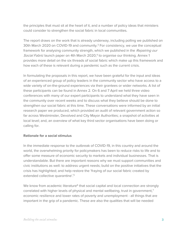the principles that must sit at the heart of it, and a number of policy ideas that ministers could consider to strengthen the social fabric in local communities.

The report draws on the work that is already underway, including polling we published on 30th March 2020 on COVID-19 and community.<sup>3</sup> For consistency, we use the conceptual framework for analysing community strength, which we published in the Repairing our Social Fabric launch paper on 4th March 2020,<sup>4</sup> to organise our thinking. Annex 1 provides more detail on the six threads of social fabric which make up this framework and how each of these is relevant during a pandemic such as the current crisis.

In formulating the proposals in this report, we have been grateful for the input and ideas of an experienced group of policy leaders in the community sector who have access to a wide variety of on-the-ground experiences via their grantees or wider networks. A list of these participants can be found in Annex 2. On 6 and 7 April we held three video conferences with many of our expert participants to understand what they have seen in the community over recent weeks and to discuss what they believe should be done to strengthen our social fabric at this time. These conversations were informed by an initial research paper we produced, which provided an audit of relevant government action so far across Westminster, Devolved and City Mayor Authorities; a snapshot of activities at local level; and, an overview of what key third sector organisations have been doing or calling for.

#### **Rationale for a social stimulus**

In the immediate response to the outbreak of COVID-19, in this country and around the world, the overwhelming priority for policymakers has been to reduce risks to life and to offer some measure of economic security to markets and individual businesses. That is understandable. But there are important reasons why we must support communities and civic institutions as well: to address urgent needs; build on the positive initiatives that the crisis has highlighted; and help restore the 'fraying of our social fabric created by extended collective quarantine'.<sup>5</sup>

We know from academic literature<sup>6</sup> that social capital and local connection are strongly correlated with higher levels of physical and mental wellbeing, trust in government,<sup>7</sup> economic resilience and lower rates of poverty and unemployment - all things that are important in the grip of a pandemic. These are also the qualities that will be needed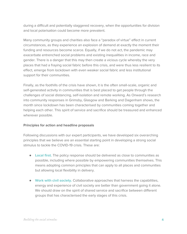during a difficult and potentially staggered recovery, when the opportunities for division and local polarisation could become more prevalent.

Many community groups and charities also face a "paradox of virtue" effect in current circumstances, as they experience an explosion of demand at exactly the moment their funding and resources become scarce. Equally, if we do not act, the pandemic may exacerbate entrenched social problems and existing inequalities in income, race and gender. There is a danger that this may then create a vicious cycle whereby the very places that had a fraying social fabric before this crisis, and were thus less resilient to its effect, emerge from lockdown with even weaker social fabric and less institutional support for their communities.

Finally, as the foothills of the crisis have shown, it is the often small-scale, organic and self-generated activity in communities that is best placed to get people through the challenges of social distancing, self-isolation and remote working. As Onward's research into community responses in Grimsby, Glasgow and Barking and Dagenham shows, the month since lockdown has been characterised by communities coming together and helping each other. This spirit of service and sacrifice should be treasured and enhanced wherever possible.

#### **Principles for action and headline proposals**

Following discussions with our expert participants, we have developed six overarching principles that we believe are an essential starting point in developing a strong social stimulus to tackle the COVID-19 crisis. These are:

- **Local first.** The policy response should be delivered as close to communities as possible, including where possible by empowering communities themselves. This means adopting common principles that can apply to all places and communities but allowing local flexibility in delivery.
- **Work with civil society.** Collaborative approaches that harness the capabilities, energy and experience of civil society are better than government going it alone. We should draw on the spirit of shared service and sacrifice between different groups that has characterised the early stages of this crisis.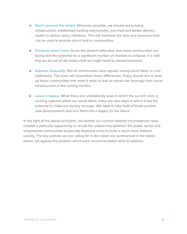- **Don't reinvent the wheel.** Wherever possible, we should use existing infrastructure, established funding mechanisms, and tried and tested delivery routes to deliver policy initiatives. This will maximise the time and resources that can be used to provide direct help to communities.
- **Preserve what's best.** Given the present difficulties that many communities are facing and the potential for a significant number of charities to collapse, it is vital that we do not let die today what we might need to rebuild tomorrow.
- **Address inequality.** Not all communities have equally strong social fabric or civic institutions. The crisis will exacerbate those differences. Policy should aim to level up those communities that need it most so that all places can leverage their social infrastructure in the coming months.
- **Leave a legacy.** While there are undoubtedly ways in which the current crisis is causing ruptures within our social fabric, there are also ways in which it has the potential to make our society stronger. We need to take hold of these positive new developments and turn them into a legacy for the future.

In the light of the above principles, we believe our current national circumstances have created a particular opportunity to recast the relationship between the public sector and empowered communities (especially deprived ones) to build a much more resilient society. The key policies we are calling for in the report are summarised in the tables below, set against the problem which each recommendation aims to address.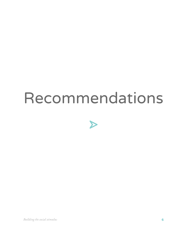## Recommendations

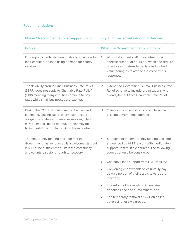#### **Recommendations**

| <b>Problem</b>                                                                                                                                                                                                                                         |    | What the Government could do to fix it                                                                                                                                                               |
|--------------------------------------------------------------------------------------------------------------------------------------------------------------------------------------------------------------------------------------------------------|----|------------------------------------------------------------------------------------------------------------------------------------------------------------------------------------------------------|
| Furloughed charity staff are unable to volunteer for<br>their charities, despite rising demand for charity<br>services.                                                                                                                                | 1. | Allow furloughed staff to volunteer for a<br>specific number of hours per week and require<br>directors or trustees to declare furloughed<br>volunteering as related to the coronavirus<br>response. |
| The flexibility around Small Business Rate Relief<br>(SBRR) does not apply to Charitable Rate Relief<br>(CRR) meaning many charities continue to pay<br>rates while small businesses are exempt.                                                       |    | 2. Extend the Government's Small Business Rate<br>Relief scheme to include organisations who<br>already benefit from Charitable Rate Relief.                                                         |
| During the COVID-19 crisis, many charities and<br>community businesses still have contractual<br>obligations to deliver or receive services, which<br>may be impossible to honour, or they may be<br>facing cash flow problems within these contracts. | З. | Offer as much flexibility as possible within<br>existing government contracts.                                                                                                                       |
| The emergency funding package that the<br>Government has announced is a welcome start but<br>it will not be sufficient to sustain the community<br>and voluntary sector through to recovery.                                                           | 4. | Supplement the emergency funding package<br>announced by HM Treasury with medium-term<br>support from multiple sources. The following<br>sources should be considered:                               |
|                                                                                                                                                                                                                                                        |    | Charitable Ioan support from HM Treasury;                                                                                                                                                            |
|                                                                                                                                                                                                                                                        |    | Convening endowments to voluntarily pay<br>down a portion of their assets towards the<br>recovery;                                                                                                   |
|                                                                                                                                                                                                                                                        |    | The reform of tax reliefs to incentivise<br>donations and social investment; and                                                                                                                     |
|                                                                                                                                                                                                                                                        |    | The temporary removal of VAT on online<br>advertising for civic groups.                                                                                                                              |

#### **Phase 1 Recommendations: supporting community and civic society during lockdown**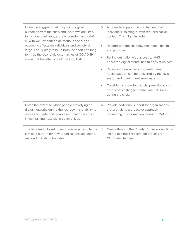Evidence suggests that the psychological outcomes from the crisis and lockdown are likely to include loneliness, anxiety, boredom and grief, all with well-evidenced deleterious social and economic effects on individuals and society at large. This is likely to be in both the short and long term, as the economic externalities of COVID-19 mean that the effects could be long lasting.

- 5. Act now to support the mental health of individuals isolating or with reduced social contact. This might include:
- Recognising the link between mental health and purpose;
- Rolling out nationwide access to NHSapproved digital mental health apps at no cost;
- Reviewing how access to greater mental health support can be delivered by the civic sector and government services; and
- Considering the role of social prescribing and civic broadcasting to combat mental illness during the crisis.

Given the extent to which people are relying on digital networks during the lockdown, the ability to access accurate and reliable information is critical in maintaining trust within communities.

6. Provide additional support for organisations that are taking a proactive approach in countering misinformation around COVID-19.

The time taken to set up and register a new charity can be a burden for new organisations seeking to respond quickly to the crisis.

7. Create through the Charity Commission a timelimited fast track registration process for COVID-19 charities.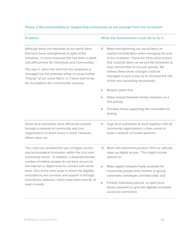#### **Phase 2 Recommendations: Supporting community as we emerge from the lockdown**

| <b>Problem</b>                                                                                                                                                                                                                                                                                                                                                                                                            | What the Government could do to fix it                                                                                                                                                                                                                                                                                                                                       |
|---------------------------------------------------------------------------------------------------------------------------------------------------------------------------------------------------------------------------------------------------------------------------------------------------------------------------------------------------------------------------------------------------------------------------|------------------------------------------------------------------------------------------------------------------------------------------------------------------------------------------------------------------------------------------------------------------------------------------------------------------------------------------------------------------------------|
| Although there are elements of our social fabric<br>that have been strengthened in spite of the<br>lockdown, in many instances this has been a bleak<br>and difficult time for individuals and communities.<br>The way in which the exit from the lockdown is<br>managed has the potential either to cause further<br>"fraying" of our social fabric, or if done well to lay<br>the foundations for a community recovery. | 8.<br>Make strengthening our social fabric an<br>explicit consideration when managing the end<br>of the lockdown. There are three early actions<br>that could be taken as we exit the lockdown to<br>help communities to recover quickly. We<br>believe these three changes could be<br>managed in such a way as to minimise the risk<br>of the virus spreading excessively: |
|                                                                                                                                                                                                                                                                                                                                                                                                                           | Reopen parks first;                                                                                                                                                                                                                                                                                                                                                          |
|                                                                                                                                                                                                                                                                                                                                                                                                                           | Allow contact between family members as a<br>first priority;                                                                                                                                                                                                                                                                                                                 |
|                                                                                                                                                                                                                                                                                                                                                                                                                           | Prioritise those supporting the vulnerable for<br>testing.                                                                                                                                                                                                                                                                                                                   |
| Some local authorities have effectively worked<br>through a network of community and civic<br>organisations to reach those in need. However,<br>others have not.                                                                                                                                                                                                                                                          | Urge local authorities to work together with all<br>9.<br>community organisations in their wards to<br>build a network of trusted partners.                                                                                                                                                                                                                                  |
| The crisis has revealed the lack of digital access<br>and technological innovation within the civic and<br>community sector. In addition, a disproportionate<br>number of elderly people do not have access to                                                                                                                                                                                                            | 10. Work with telecommunication firms to radically<br>open up digital access. This might include<br>options to:                                                                                                                                                                                                                                                              |
| the internet or digital tools to connect with loved<br>ones. One of the main ways in which the digitally<br>excluded access services and support is through                                                                                                                                                                                                                                                               | Make digital hotspots freely available for<br>۰<br>community groups and charities or giving<br>vulnerable individuals unlimited data; and                                                                                                                                                                                                                                    |
| local library networks, which have been shut for at<br>least a month.                                                                                                                                                                                                                                                                                                                                                     | If travel restrictions persist, re-open local<br>۰<br>library networks to give the digitally excluded<br>access to connection.                                                                                                                                                                                                                                               |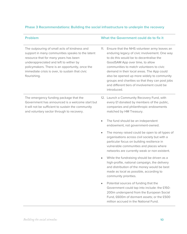#### **Phase 3 Recommendations: Building the social infrastructure to underpin the recovery**

| <b>Problem</b>                                                                                                                                                                                                                                                                                            | What the Government could do to fix it                                                                                                                                                                                                                                                                                                                                                                                                   |
|-----------------------------------------------------------------------------------------------------------------------------------------------------------------------------------------------------------------------------------------------------------------------------------------------------------|------------------------------------------------------------------------------------------------------------------------------------------------------------------------------------------------------------------------------------------------------------------------------------------------------------------------------------------------------------------------------------------------------------------------------------------|
| The outpouring of small acts of kindness and<br>support in many communities speaks to the latent<br>resource that for many years has been<br>underappreciated and left to wither by<br>policymakers. There is an opportunity, once the<br>immediate crisis is over, to sustain that civic<br>flourishing. | 11. Ensure that the NHS volunteer army leaves an<br>enduring legacy of civic involvement. One way<br>to do this would be to decentralise the<br>GoodSAM App over time, to allow<br>communities to match volunteers to civic<br>demand in their local areas. The App could<br>also be opened up more widely to community<br>groups and charities so that they can post jobs<br>and different tiers of involvement could be<br>introduced. |
| The emergency funding package that the<br>Government has announced is a welcome start but<br>it will not be sufficient to sustain the community<br>and voluntary sector through to recovery.                                                                                                              | 12. Launch a Community Recovery Fund, with<br>every £1 donated by members of the public,<br>companies and philanthropic endowments<br>matched by HM Treasury.                                                                                                                                                                                                                                                                            |
|                                                                                                                                                                                                                                                                                                           | The fund should be an independent<br>۰<br>endowment, not government-owned.                                                                                                                                                                                                                                                                                                                                                               |
|                                                                                                                                                                                                                                                                                                           | The money raised could be open to all types of<br>۰<br>organisations across civil society but with a<br>particular focus on building resilience in<br>vulnerable communities and places where<br>networks are currently weak or non-existent.                                                                                                                                                                                            |
|                                                                                                                                                                                                                                                                                                           | While the fundraising should be driven as a<br>۰<br>high-profile, national campaign, the delivery<br>and distribution of the money would be best<br>made as local as possible, according to<br>community priorities.                                                                                                                                                                                                                     |
|                                                                                                                                                                                                                                                                                                           | Potential sources of funding that the<br>Government could tap into include: the £150-<br>200m underspend from the European Social<br>Fund, £600m of dormant assets; or the £500<br>million accrued in the National Fund.                                                                                                                                                                                                                 |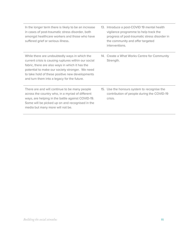| In the longer term there is likely to be an increase<br>in cases of post-traumatic stress disorder, both<br>amongst healthcare workers and those who have<br>suffered grief or serious illness.                                                                                                               | 13. Introduce a post-COVID 19 mental health<br>vigilance programme to help track the<br>progress of post-traumatic stress disorder in<br>the community and offer targeted<br>interventions. |
|---------------------------------------------------------------------------------------------------------------------------------------------------------------------------------------------------------------------------------------------------------------------------------------------------------------|---------------------------------------------------------------------------------------------------------------------------------------------------------------------------------------------|
| While there are undoubtedly ways in which the<br>current crisis is causing ruptures within our social<br>fabric, there are also ways in which it has the<br>potential to make our society stronger. We need<br>to take hold of these positive new developments<br>and turn them into a legacy for the future. | 14. Create a What Works Centre for Community<br>Strength.                                                                                                                                   |
| There are and will continue to be many people<br>across the country who, in a myriad of different<br>ways, are helping in the battle against COVID-19.<br>Some will be picked up on and recognised in the<br>media but many more will not be.                                                                 | 15. Use the honours system to recognise the<br>contribution of people during the COVID-19<br>crisis.                                                                                        |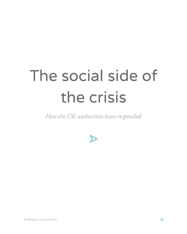# The social side of the crisis

*How the UK authorities have responded*

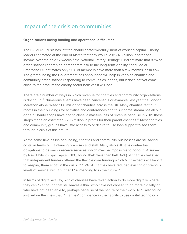### Impact of the crisis on communities

#### **Organisations facing funding and operational difficulties**

The COVID-19 crisis has left the charity sector woefully short of working capital. Charity leaders estimated at the end of March that they would lose £4.3 billion in foregone income over the next 12 weeks,<sup>8</sup> the National Lottery Heritage Fund estimate that 82% of organisations report high or moderate risk to the long-term viability,<sup>9</sup> and Social Enterprise UK estimates only 50% of members have more than a few months' cash flow. The grant funding the Government has announced will help in keeping charities and community organisations responding to communities' needs, but it does not yet come close to the amount the charity sector believes it will lose.

There are a number of ways in which revenue for charities and community organisations is drying up.<sup>10</sup> Numerous events have been cancelled. For example, last year the London Marathon alone raised £66 million for charities across the UK. Many charities rent out rooms in their buildings for activities and conferences and this income stream has all but gone.<sup>11</sup> Charity shops have had to close, a massive loss of revenue because in 2019 these shops made an estimated £295 million in profits for their parent charities.<sup>12</sup> Most charities and community groups have little access to or desire to use loan support to see them through a crisis of this nature.

At the same time as losing funding, charities and community businesses are still facing costs, in terms of maintaining premises and staff. Many also still have contractual obligations to deliver or receive services, which may be impossible to honour. A survey by New Philanthropy Capital (NPC) found that: "less than half (47%) of charities believed that independent funders offered the flexible core funding which NPC expects will be vital to keeping them afloat in the crisis."<sup>13</sup> 52% of charities have reduced existing or previous levels of service, with a further 12% intending to in the future.<sup>14</sup>

In terms of digital activity, 67% of charities have taken action to do more digitally where they can<sup>15</sup> - although that still leaves a third who have not chosen to do more digitally or who have not been able to, perhaps because of the nature of their work. NPC also found just before the crisis that: "charities' confidence in their ability to use digital technology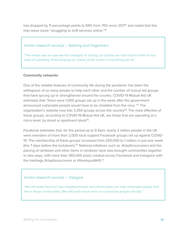has dropped by 11 percentage points to 59% from 70% since 2017" and noted that this may leave some "struggling to shift services online."<sup>16</sup>

#### Action research excerpt – Barking and Dagenham

"The whole way we operate has changed. In closing our centres we have had to think of new ways of operating whilst keeping our clients at the centre of everything we do"

#### **Community networks**

One of the notable features of community life during the pandemic has been the willingness of so many people to help each other and the number of mutual aid groups that have sprung up or strengthened around the country. COVID-19 Mutual Aid UK estimates that "there were 1,000 groups set up in the week after the government announced vulnerable people would have to be shielded from the virus." <sup>17</sup> The organisation's website now lists 3,350 groups across the country<sup>18</sup>. The most effective of these groups, according to COVID-19 Mutual Aid UK, are those that are operating at a micro-level, by street or apartment block<sup>19</sup>.

Facebook estimates that, for the period up to 9 April, nearly 2 million people in the UK were members of more than 2,000 local support Facebook groups set up against COVID-19. The membership of these groups increased from 200,000 to 1 million in just one week (the 7 days before the lockdown).<sup>20</sup> National initiatives such as  $\#$ clapforourcarers and the placing of rainbows and other items in windows have also brought communities together in new ways, with more than 350,000 posts created across Facebook and Instagram with the hashtags #clapforourcarers or #thankyouNHS.<sup>21</sup>

#### Action research excerpt – Glasgow

"We will really focus on how neighbourhoods and communities can help vulnerable people that live in those communities. [We will] work much more on connecting people virtually."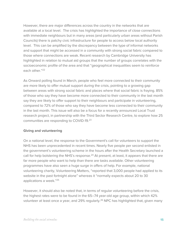However, there are major differences across the country in the networks that are available at a local level. The crisis has highlighted the importance of close connections with immediate neighbours but in many areas (and particularly urban areas without Parish Councils) there is patchy civic infrastructure for people to access below local authority level. This can be amplified by the discrepancy between the type of informal networks and support that might be accessed in a community with strong social fabric compared to those where connections are weak. Recent research by Cambridge University has highlighted in relation to mutual aid groups that the number of groups correlates with the socioeconomic profile of the area and that "geographical inequalities seem to reinforce each other."22

As Onward polling found in March, people who feel more connected to their community are more likely to offer mutual support during the crisis, pointing to a growing gap between areas with strong social fabric and places where that social fabric is fraying. 85% of those who say they have become more connected to their community in the last month say they are likely to offer support to their neighbours and participate in volunteering, compared to 72% of those who say they have become less connected to their community in the last month. This issue will also be a focus for a recently announced Local Trust research project, in partnership with the Third Sector Research Centre, to explore how 25 communities are responding to COVID-19.<sup>23</sup>

#### **Giving and volunteering**

On a national level, the response to the Government's call for volunteers to support the NHS has been unprecedented in recent times. Nearly five people per second enlisted in the government's volunteering scheme in the hours after the Health Secretary launched a call for help bolstering the NHS's response.<sup>24</sup> At present, at least, it appears that there are far more people who want to help than there are tasks available. Other volunteering programmes have also seen a huge surge in offers of help. For example, national volunteering charity, Volunteering Matters, "reported that 3,000 people had applied to its website in the past fortnight alone" whereas it "normally expects about 20 to 30 applications a week." 25

However, it should also be noted that, in terms of regular volunteering before the crisis, the highest rates were to be found in the 65–74 year-old age group, within which 42% volunteer at least once a year, and 29% regularly.<sup>26</sup> NPC has highlighted that, given many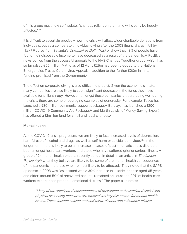of this group must now self-isolate, "charities reliant on their time will clearly be hugely affected." 27

It is difficult to ascertain precisely how the crisis will affect wider charitable donations from individuals, but as a comparator, individual giving after the 2008 financial crash fell by 11%.<sup>28</sup> Figures from Savanta's *Coronavirus Daily Tracker* show that 43% of people have found their disposable income to have decreased as a result of the pandemic.<sup>29</sup> Positive news comes from the successful appeals to the NHS Charities Together group, which has so far raised £55 million.<sup>30</sup> And as of 12 April, £25m had been pledged to the National Emergencies Trust's Coronavirus Appeal, in addition to the further £20m in match funding promised from the Government.<sup>31</sup>

The effect on corporate giving is also difficult to predict. Given the economic climate, many companies are also likely to see a significant decrease in the funds they have available for philanthropy. However, amongst those companies that are doing well during the crisis, there are some encouraging examples of generosity. For example: Tesco has launched a £30 million community support package;<sup>32</sup> Barclays has launched a £100 million COVID-19 Community Aid Package;<sup>33</sup> and Martin Lewis (of Money Saving Expert) has offered a *f*1million fund for small and local charities <sup>34</sup>

#### **Mental health**

As the COVID-19 crisis progresses, we are likely to face increased levels of depression, harmful use of alcohol and drugs, as well as self-harm or suicidal behaviour.<sup>35</sup> In the longer term there is likely to be an increase in cases of post-traumatic stress disorder, both amongst healthcare workers and those who have suffered grief or serious illness. A group of 24 mental health experts recently set out in detail in an article in The Lancet Psychiatry<sup>36</sup> what they believe are likely to be some of the mental health consequences of the pandemic and those who are most likely to be affected. They noted that the SARS epidemic in 2003 was "associated with a 30% increase in suicide in those aged 65 years and older; around 50% of recovered patients remained anxious; and 29% of health-care workers experienced probable emotional distress." The paper also notes:

"Many of the anticipated consequences of quarantine and associated social and physical distancing measures are themselves key risk factors for mental health issues. These include suicide and self-harm, alcohol and substance misuse,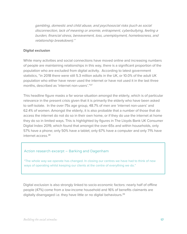gambling, domestic and child abuse, and psychosocial risks (such as social disconnection, lack of meaning or anomie, entrapment, cyberbullying, feeling a burden, financial stress, bereavement, loss, unemployment, homelessness, and relationship breakdown)."

#### **Digital exclusion**

While many activities and social connections have moved online and increasing numbers of people are maintaining relationships in this way, there is a significant proportion of the population who are excluded from digital activity. According to latest government statistics, "in 2018 there were still 5.3 million adults in the UK, or 10.0% of the adult UK population who either have never used the internet or have not used it in the last three months, described as 'internet non-users'." 37

This headline figure masks a far worse situation amongst the elderly, which is of particular relevance in the present crisis given that it is primarily the elderly who have been asked to self-isolate. In the over-75s age group, 48.7% of men are 'internet non-users' and 62.4% of women. Amongst the elderly, it is also probable that a number of those that do access the internet do not do so in their own home, or if they do use the internet at home they do so in limited ways. This is highlighted by figures in The Lloyds Bank UK Consumer Digital Index 2019, which found that amongst the over-65s and within households, only 57% have a phone; only 50% have a tablet; only 67% have a computer and only 71% have internet access.<sup>38</sup>

#### Action research excerpt – Barking and Dagenham

"The whole way we operate has changed. In closing our centres we have had to think of new ways of operating whilst keeping our clients at the centre of everything we do."

Digital exclusion is also strongly linked to socio-economic factors: nearly half of offline people (47%) come from a low-income household and 16% of benefits claimants are digitally disengaged i.e. they have little or no digital behaviours.<sup>39</sup>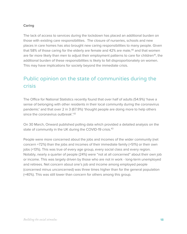#### **Caring**

The lack of access to services during the lockdown has placed an additional burden on those with existing care responsibilities. The closure of nurseries, schools and new places in care homes has also brought new caring responsibilities to many people. Given that 58% of those caring for the elderly are female and 42% are male,<sup>40</sup> and that women are far more likely than men to adjust their employment patterns to care for children<sup>41</sup>, the additional burden of these responsibilities is likely to fall disproportionately on women. This may have implications for society beyond the immediate crisis.

### Public opinion on the state of communities during the crisis

The Office for National Statistics recently found that over half of adults (54.9%) 'have a sense of belonging with other residents in their local community during the coronavirus pandemic' and that over 2 in 3 (67.9%) 'thought people are doing more to help others since the coronavirus outbreak'.<sup>42</sup>

On 30 March, Onward published polling data which provided a detailed analysis on the state of community in the UK during the COVID-19 crisis.<sup>43</sup>

People were more concerned about the jobs and incomes of the wider community (net concern +72%) than the jobs and incomes of their immediate family (+51%) or their own jobs (+13%). This was true of every age group, every social class and every region. Notably, nearly a quarter of people (24%) were "not at all concerned" about their own job or income. This was largely driven by those who are not in work - long-term unemployed and retirees. Net concern about one's job and income among employed people (concerned minus unconcerned) was three times higher than for the general population (+40%). This was still lower than concern for others among this group.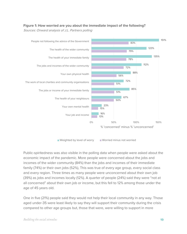#### **Figure 1: How worried are you about the immediate impact of the following?**

Sources: Onward analysis of J.L. Partners polling



■ Weighted by level of worry ■ Worried minus not worried

Public-spiritedness was also visible in the polling data when people were asked about the economic impact of the pandemic. More people were concerned about the jobs and incomes of the wider community (84%) than the jobs and incomes of their immediate family (74%) or their own jobs (52%), This was true of every age group, every social class and every region. Three times as many people were unconcerned about their own job (39%) as jobs and incomes locally (12%). A quarter of people (24%) said they were "not at all concerned" about their own job or income, but this fell to 12% among those under the age of 45 years old.

One in five (21%) people said they would not help their local community in any way. Those aged under-35 were least likely to say they will support their community during the crisis compared to other age groups but, those that were, were willing to support in more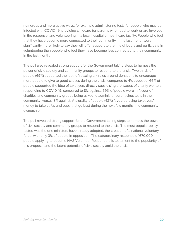numerous and more active ways, for example administering tests for people who may be infected with COVID-19, providing childcare for parents who need to work or are involved in the response, and volunteering in a local hospital or healthcare facility. People who feel that they have become more connected to their community in the last month were significantly more likely to say they will offer support to their neighbours and participate in volunteering than people who feel they have become less connected to their community in the last month.

The poll also revealed strong support for the Government taking steps to harness the power of civic society and community groups to respond to the crisis. Two thirds of people (69%) supported the idea of relaxing tax rules around donations to encourage more people to give to good causes during the crisis, compared to 4% opposed. 66% of people supported the idea of taxpayers directly subsidising the wages of charity workers responding to COVID-19, compared to 8% against. 59% of people were in favour of charities and community groups being asked to administer coronavirus tests in the community, versus 8% against. A plurality of people (42%) favoured using taxpayers' money to take cafes and pubs that go bust during the next few months into community ownership.

The poll revealed strong support for the Government taking steps to harness the power of civil society and community groups to respond to the crisis. The most popular policy tested was the one ministers have already adopted, the creation of a national voluntary force, with only 3% of people in opposition. The extraordinary response of 670,000 people applying to become NHS Volunteer Responders is testament to the popularity of this proposal and the latent potential of civic society amid the crisis.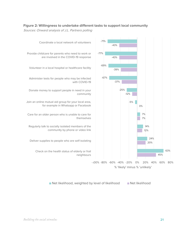

#### **Figure 2: Willingness to undertake different tasks to support local community**

Sources: Onward analysis of J.L. Partners polling

Net likelihood, weighted by level of likelihood Net likelihood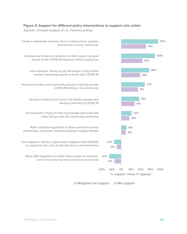#### **Figure 3: Support for different policy interventions to support civic action**

Sources: Onward analysis of J.L. Partners polling



 $\blacksquare$  Weighted net support  $\blacksquare$  Net support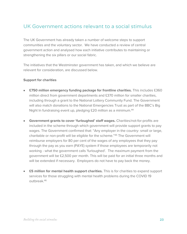### UK Government actions relevant to a social stimulus

The UK Government has already taken a number of welcome steps to support communities and the voluntary sector. We have conducted a review of central government action and analysed how each initiative contributes to maintaining or strengthening the six pillars or our social fabric.

The initiatives that the Westminster government has taken, and which we believe are relevant for consideration, are discussed below.

#### **Support for charities**

- **£750 million emergency funding package for frontline charities.** This includes £360 million direct from government departments and £370 million for smaller charities, including through a grant to the National Lottery Community Fund. The Government will also match donations to the National Emergencies Trust as part of the BBC's Big Night In fundraising event up, pledging £20 million as a minimum.<sup>44</sup>
- **Government grants to cover 'furloughed' staff wages.** Charities/not-for-profits are included in the scheme through which government will provide support grants to pay wages. The Government confirmed that: "Any employer in the country- small or large, charitable or non-profit will be eligible for the scheme."45 The Government will reimburse employers for 80 per cent of the wages of any employees that they pay through the pay as you earn (PAYE) system if those employees are temporarily not working - what the government calls 'furloughed'. The maximum payment from the government will be £2,500 per month. This will be paid for an initial three months and will be extended if necessary. Employers do not have to pay back the money.
- **£5 million for mental health support charities.** This is for charities to expand support services for those struggling with mental health problems during the COVID 19 outbreak.46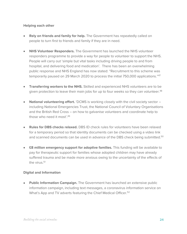#### **Helping each other**

- **Rely on friends and family for help.** The Government has repeatedly called on people to turn first to friends and family if they are in need.
- **NHS Volunteer Responders.** The Government has launched the NHS volunteer responders programme to provide a way for people to volunteer to support the NHS. People will carry out 'simple but vital tasks including driving people to and from hospital, and delivering food and medication'. There has been an overwhelming public response and NHS England has now stated: "Recruitment to this scheme was temporarily paused on 29 March 2020 to process the initial 750,000 applications." 47
- **Transferring workers to the NHS.** Skilled and experienced NHS volunteers are to be given protection to leave their main jobs for up to four weeks so they can volunteer.<sup>48</sup>
- **National volunteering effort.** 'DCMS is working closely with the civil society sector including National Emergencies Trust, the National Council of Voluntary Organisations and the British Red Cross – on how to galvanise volunteers and coordinate help to those who need it most'.<sup>49</sup>
- **Rules for DBS checks relaxed.** DBS ID check rules for volunteers have been relaxed for a temporary period so that identity documents can be checked using a video link and scanned documents can be used in advance of the DBS check being submitted.<sup>50</sup>
- **£8 million emergency support for adoptive families.** This funding will be available to pay for therapeutic support for families whose adopted children may have already suffered trauma and be made more anxious owing to the uncertainty of the effects of the virus.<sup>51</sup>

#### **Digital and Information**

• **Public Information Campaign.** The Government has launched an extensive public information campaign, including text messages, a coronavirus information service on What's App and TV adverts featuring the Chief Medical Officer.<sup>52</sup>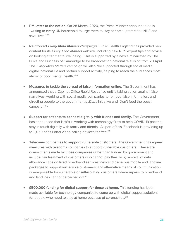- **PM letter to the nation.** On 28 March, 2020, the Prime Minister announced he is "writing to every UK household to urge them to stay at home, protect the NHS and save lives." 53
- **Reinforced Every Mind Matters Campaign.** Public Health England has provided new content for its *Every Mind Matters* website, including new NHS expert tips and advice on looking after mental wellbeing. This is supported by a new film narrated by The Duke and Duchess of Cambridge to be broadcast on national television from 20 April. The *Every Mind Matters* campaign will also "be supported through social media, digital, national TV and partner support activity, helping to reach the audiences most at-risk of poor mental health." 54
- **Measures to tackle the spread of false information online**. The Government has announced that a Cabinet Office Rapid Response unit is taking action against false narratives; working with social media companies to remove false information; and directing people to the government's *Share* initiative and 'Don't feed the beast' campaign.<sup>55</sup>
- **Support for patients to connect digitally with friends and family.** The Government has announced that NHSx is working with technology firms to help COVID-19 patients stay in touch digitally with family and friends. As part of this, Facebook is providing up to 2,050 of its Portal video calling devices for free.<sup>56</sup>
- **Telecoms companies to support vulnerable customers.** The Government has agreed measures with telecoms companies to support vulnerable customers. These are commitments made by those companies rather than funded by government and include: fair treatment of customers who cannot pay their bills; removal of data allowance caps on fixed broadband services; new and generous mobile and landline packages to support vulnerable customers; and alternative means of communication where possible for vulnerable or self-isolating customers where repairs to broadband and landlines cannot be carried out.<sup>57</sup>
- **£500,000 funding for digital support for those at home.** This funding has been made available for technology companies to come up with digital support solutions for people who need to stay at home because of coronavirus.<sup>58</sup>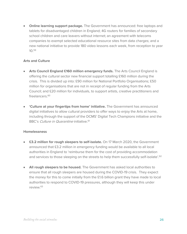• **Online learning support package.** The Government has announced: free laptops and tablets for disadvantaged children in England; 4G routers for families of secondary school children and care leavers without internet; an agreement with telecoms companies to exempt selected educational resource sites from data charges; and a new national initiative to provide 180 video lessons each week, from reception to year 10.<sup>59</sup>

#### **Arts and Culture**

- **Arts Council England £160 million emergency funds.** The Arts Council England is offering the cultural sector new financial support totalling £160 million during the crisis. This is divided up into: £90 million for National Portfolio Organisations; £50 million for organisations that are not in receipt of regular funding from the Arts Council; and £20 million for individuals, to support artists, creative practitioners and freelancers.<sup>60</sup>
- **'Culture at your fingertips from home' initiative.** The Government has announced digital initiatives to allow cultural providers to offer ways to enjoy the Arts at home, including through the support of the DCMS' Digital Tech Champions initiative and the BBC's Culture in Quarantine initiative.<sup>61</sup>

#### **Homelessness**

- **£3.2 million for rough sleepers to self-isolate.** On 17 March 2020, the Government announced that £3.2 million in emergency funding would be available to all local authorities in England to 'reimburse them for the cost of providing accommodation and services to those sleeping on the streets to help them successfully self-isolate'.<sup>62</sup>
- **All rough sleepers to be housed.** The Government has asked local authorities to ensure that all rough sleepers are housed during the COVID-19 crisis. They expect the money for this to come initially from the £1.6 billion grant they have made to local authorities to respond to COVID-19 pressures, although they will keep this under review<sup>63</sup>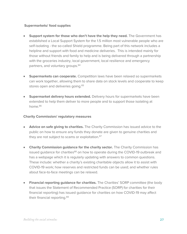#### **Supermarkets/ food supplies**

- **Support system for those who don't have the help they need.** The Government has established a Local Support System for the 1.5 million most vulnerable people who are self-isolating - the so-called Shield programme. Being part of this network includes a helpline and support with food and medicine deliveries. This is intended mainly for those without friends and family to help and is being delivered through a partnership with the groceries industry, local government, local resilience and emergency partners, and voluntary groups.<sup>64</sup>
- **Supermarkets can cooperate.** Competition laws have been relaxed so supermarkets can work together, allowing them to share data on stock levels and cooperate to keep stores open and deliveries going.<sup>65</sup>
- **Supermarket delivery hours extended.** Delivery hours for supermarkets have been extended to help them deliver to more people and to support those isolating at home  $66$

#### **Charity Commission/ regulatory measures**

- **Advice on safe giving to charities.** The Charity Commission has issued advice to the public on how to ensure any funds they donate are given to genuine charities and they are not subject to scams or exploitation.<sup>67</sup>
- **Charity Commission guidance for the charity sector.** The Charity Commission has issued guidance for charities<sup>68</sup> on how to operate during the COVID-19 outbreak and has a webpage which it is regularly updating with answers to common questions. These include: whether a charity's existing charitable objects allow it to assist with COVID-19 work; how reserves and restricted funds can be used; and whether rules about face-to-face meetings can be relaxed.
- **Financial reporting guidance for charities.** The Charities' SORP committee (the body that issues the Statement of Recommended Practice (SORP) for charities for their financial reporting) has issue[d](https://www.charitysorp.org/about-the-sorp/covid-19/) guidance for charities on how COVID-19 may affect their financial reporting.69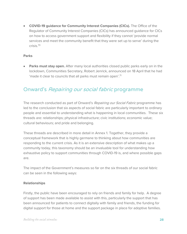• **COVID-19 guidance for Community Interest Companies (CICs).** The Office of the Regulator of Community Interest Companies (CICs) has announced guidance for CICs on how to access government support and flexibility if they cannot 'provide normal services and meet the community benefit that they were set up to serve' during the crisis.<sup>70</sup>

#### **Parks**

**Parks must stay open.** After many local authorities closed public parks early on in the lockdown, Communities Secretary, Robert Jenrick, announced on 18 April that he had 'made it clear to councils that all parks must remain open'.<sup>71</sup>

### Onward's Repairing our social fabric programme

The research conducted as part of Onward's Repairing our Social Fabric programme has led to the conclusion that six aspects of social fabric are particularly important to ordinary people and essential to understanding what is happening in local communities. These six threads are: relationships; physical infrastructure; civic institutions; economic value; cultural behaviours; and pride and belonging.

These threads are described in more detail in Annex 1. Together, they provide a conceptual framework that is highly germane to thinking about how communities are responding to the current crisis. As it is an extensive description of what makes up a community today, this taxonomy should be an invaluable tool for understanding how exhaustive policy to support communities through COVID-19 is, and where possible gaps are.

The impact of the Government's measures so far on the six threads of our social fabric can be seen in the following ways:

#### **Relationships**

Firstly, the public have been encouraged to rely on friends and family for help. A degree of support has been made available to assist with this, particularly the support that has been announced for patients to connect digitally with family and friends, the funding for digital support for those at home and the support package in place for adoptive families.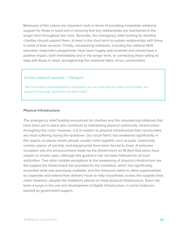Measures of this nature are important, both in terms of providing immediate relational support for those in need and in ensuring that key relationships are maintained in the longer term throughout the crisis. Secondly, the emergency relief funding for frontline charities should support them, at least in the short term to sustain relationships with those in need of their services. Thirdly, volunteering initiatives, including the national NHS volunteer responders programme, have been hugely well received and should have a positive impact, both immediately and in the longer-term, in connecting those willing to help with those in need, strengthening the relational fabric of our communities.

#### Action research excerpt – Glasgow

"We have been overwhelmed by volunteers, we can now process them much faster, the response has been great and we have loads"

#### **Physical Infrastructure**

The emergency relief funding announced for charities and the volunteering initiatives that have been put in place also contribute to maintaining physical community infrastructure throughout the crisis. However, it is in relation to physical infrastructure that communities are most suffering during the lockdown. Our social fabric has weakened significantly in this regard, as places where people usually come together such as pubs, community centres, places of worship, and playgrounds have been forced to close. A welcome exception was the announcement made by the Government on 18 April that parks must reopen or remain open, although this guidance has not been followed by all local authorities. Two other notable exceptions to the weakening of physical infrastructure are the support the Government has provided for the homeless, which has significantly exceeded what was previously available, and the measures taken to allow supermarkets to cooperate and extend their delivery hours to help households access the supplies they need. However, despite the limitations placed on most physical infrastructure, there has been a surge in the use and development of digital infrastructure, in some instances backed by government support.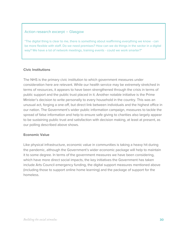#### Action research excerpt – Glasgow

"The digital thing is clear to me, there is something about reaffirming everything we know - can be more flexible with staff. Do we need premises? How can we do things in the sector in a digital way? We have a lot of network meetings, training events - could we work smarter?"

#### **Civic Institutions**

The NHS is the primary civic institution to which government measures under consideration here are relevant. While our health service may be extremely stretched in terms of resources, it appears to have been strengthened through the crisis in terms of public support and the public trust placed in it. Another notable initiative is the Prime Minister's decision to write personally to every household in the country. This was an unusual act, forging a one-off, but direct link between individuals and the highest office in our nation. The Government's wider public information campaign, measures to tackle the spread of false information and help to ensure safe giving to charities also largely appear to be sustaining public trust and satisfaction with decision making, at least at present, as our polling described above shows.

#### **Economic Value**

Like physical infrastructure, economic value in communities is taking a heavy hit during the pandemic, although the Government's wider economic package will help to maintain it to some degree. In terms of the government measures we have been considering, which have more direct social impacts, the key initiatives the Government has taken include Arts Council emergency funding, the digital support measures mentioned above (including those to support online home learning) and the package of support for the homeless.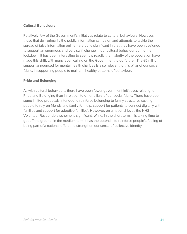#### **Cultural Behaviours**

Relatively few of the Government's initiatives relate to cultural behaviours. However, those that do - primarily the public information campaign and attempts to tackle the spread of false information online - are quite significant in that they have been designed to support an enormous and very swift change in our cultural behaviour during the lockdown. It has been interesting to see how readily the majority of the population have made this shift, with many even calling on the Government to go further. The £5 million support announced for mental health charities is also relevant to this pillar of our social fabric, in supporting people to maintain healthy patterns of behaviour.

#### **Pride and Belonging**

As with cultural behaviours, there have been fewer government initiatives relating to Pride and Belonging than in relation to other pillars of our social fabric. There have been some limited proposals intended to reinforce belonging to family structures (asking people to rely on friends and family for help, support for patients to connect digitally with families and support for adoptive families). However, on a national level, the NHS Volunteer Responders scheme is significant. While, in the short-term, it is taking time to get off the ground, in the medium term it has the potential to reinforce people's feeling of being part of a national effort and strengthen our sense of collective identity.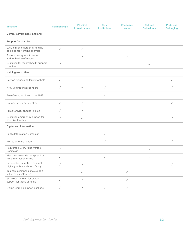| <b>Initiative</b>                                                    | <b>Relationships</b> | <b>Physical</b><br>Infrastructure | <b>Civic</b><br><b>Institutions</b> | <b>Economic</b><br><b>Value</b> | <b>Cultural</b><br><b>Behaviours</b> | <b>Pride and</b><br><b>Belonging</b> |
|----------------------------------------------------------------------|----------------------|-----------------------------------|-------------------------------------|---------------------------------|--------------------------------------|--------------------------------------|
| <b>Central Government/ England</b>                                   |                      |                                   |                                     |                                 |                                      |                                      |
| <b>Support for charities</b>                                         |                      |                                   |                                     |                                 |                                      |                                      |
| £750 million emergency funding<br>package for frontline charities    | $\checkmark$         | $\checkmark$                      |                                     |                                 |                                      |                                      |
| Government grants to cover<br>'furloughed' staff wages               |                      | $\checkmark$                      |                                     | $\checkmark$                    |                                      |                                      |
| £5 million for mental health support<br>charities                    | $\checkmark$         |                                   |                                     |                                 | $\checkmark$                         |                                      |
| Helping each other                                                   |                      |                                   |                                     |                                 |                                      |                                      |
| Rely on friends and family for help                                  | $\checkmark$         |                                   |                                     |                                 |                                      | $\checkmark$                         |
| NHS Volunteer Responders                                             | $\checkmark$         | $\checkmark$                      | $\checkmark$                        |                                 |                                      | $\checkmark$                         |
| Transferring workers to the NHS.                                     |                      |                                   | $\checkmark$                        |                                 |                                      |                                      |
| National volunteering effort                                         | $\checkmark$         | $\checkmark$                      |                                     |                                 |                                      | $\checkmark$                         |
| Rules for DBS checks relaxed                                         | $\checkmark$         | $\checkmark$                      |                                     |                                 |                                      |                                      |
| £8 million emergency support for<br>adoptive families                | $\checkmark$         | $\checkmark$                      |                                     |                                 |                                      | $\checkmark$                         |
| <b>Digital and Information</b>                                       |                      |                                   |                                     |                                 |                                      |                                      |
| Public Information Campaign                                          |                      |                                   | $\checkmark$                        |                                 | $\checkmark$                         |                                      |
| PM letter to the nation                                              |                      |                                   | $\checkmark$                        |                                 |                                      | $\checkmark$                         |
| Reinforced Every Mind Matters<br>Campaign                            | $\checkmark$         |                                   |                                     |                                 | $\checkmark$                         |                                      |
| Measures to tackle the spread of<br>false information online         | $\checkmark$         |                                   | $\checkmark$                        |                                 | $\checkmark$                         |                                      |
| Support for patients to connect<br>digitally with friends and family | $\checkmark$         | $\checkmark$                      |                                     |                                 |                                      | $\checkmark$                         |
| Telecoms companies to support<br>vulnerable customers                |                      | $\checkmark$                      |                                     | $\checkmark$                    |                                      |                                      |
| £500,000 funding for digital<br>support for those at home            | $\checkmark$         | $\checkmark$                      |                                     | $\checkmark$                    |                                      |                                      |
| Online learning support package                                      | $\checkmark$         | $\checkmark$                      | $\checkmark$                        | $\checkmark$                    |                                      |                                      |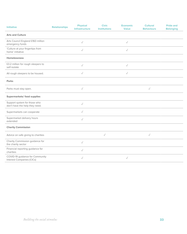| <b>Initiative</b>                                                   | <b>Relationships</b> | <b>Physical</b><br>Infrastructure | <b>Civic</b><br><b>Institutions</b> | <b>Economic</b><br><b>Value</b> | <b>Cultural</b><br><b>Behaviours</b> | <b>Pride and</b><br><b>Belonging</b> |
|---------------------------------------------------------------------|----------------------|-----------------------------------|-------------------------------------|---------------------------------|--------------------------------------|--------------------------------------|
| <b>Arts and Culture</b>                                             |                      |                                   |                                     |                                 |                                      |                                      |
| Arts Council England £160 million<br>emergency funds                |                      | $\checkmark$                      |                                     | $\checkmark$                    |                                      |                                      |
| 'Culture at your fingertips from<br>home' initiative                |                      | $\checkmark$                      |                                     | $\checkmark$                    |                                      |                                      |
| <b>Homelessness</b>                                                 |                      |                                   |                                     |                                 |                                      |                                      |
| £3.2 million for rough sleepers to<br>self-isolate                  |                      | $\checkmark$                      |                                     | $\checkmark$                    |                                      |                                      |
| All rough sleepers to be housed.                                    |                      | $\checkmark$                      |                                     | $\checkmark$                    |                                      |                                      |
| Parks                                                               |                      |                                   |                                     |                                 |                                      |                                      |
| Parks must stay open.                                               |                      | $\checkmark$                      |                                     |                                 | $\checkmark$                         |                                      |
| Supermarkets/food supplies                                          |                      |                                   |                                     |                                 |                                      |                                      |
| Support system for those who<br>don't have the help they need.      |                      | $\checkmark$                      |                                     |                                 |                                      |                                      |
| Supermarkets can cooperate                                          |                      | $\checkmark$                      |                                     |                                 |                                      |                                      |
| Supermarket delivery hours<br>extended                              |                      | $\checkmark$                      |                                     |                                 |                                      |                                      |
| <b>Charity Commission</b>                                           |                      |                                   |                                     |                                 |                                      |                                      |
| Advice on safe giving to charities                                  |                      |                                   | $\checkmark$                        |                                 | $\checkmark$                         |                                      |
| Charity Commission guidance for<br>the charity sector               |                      | $\checkmark$                      |                                     |                                 |                                      |                                      |
| Financial reporting guidance for<br>charities                       |                      | $\checkmark$                      |                                     |                                 |                                      |                                      |
| COVID-19 guidance for Community<br><b>Interest Companies (CICs)</b> |                      | $\checkmark$                      |                                     | $\checkmark$                    |                                      |                                      |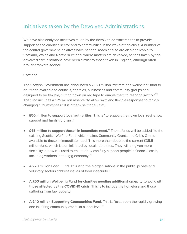### Initiatives taken by the Devolved Administrations

We have also analysed initiatives taken by the devolved administrations to provide support to the charities sector and to communities in the wake of the crisis. A number of the central government initiatives have national reach and so are also applicable to Scotland, Wales and Northern Ireland; where matters are devolved, actions taken by the devolved administrations have been similar to those taken in England, although often brought forward sooner.

#### **Scotland**

The Scottish Government has announced a £350 million "welfare and wellbeing" fund to be "made available to councils, charities, businesses and community groups and designed to be flexible, cutting down on red tape to enable them to respond swiftly."72 The fund includes a £25 million reserve "to allow swift and flexible responses to rapidly changing circumstances." It is otherwise made up of:

- **£50 million to support local authorities.** This is "to support their own local resilience, support and hardship plans."
- **£45 million to support those "in immediate need."** These funds will be added "to the existing Scottish Welfare Fund which makes Community Grants and Crisis Grants available to those in immediate need. This more than doubles the current £35.5 million fund, which is administered by local authorities. They will be given more flexibility in how it is used to ensure they can fully support people in financial crisis, including workers in the 'gig economy'."
- **A £70 million Food Fund.** This is to "help organisations in the public, private and voluntary sectors address issues of food insecurity."
- **A £50 million Wellbeing Fund for charities needing additional capacity to work with those affected by the COVID-19 crisis.** This is to include the homeless and those suffering from fuel poverty.
- **A £40 million Supporting Communities Fund**. This is "to support the rapidly growing and inspiring community efforts at a local level."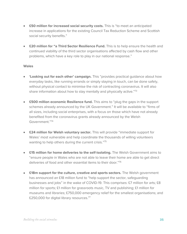- **£50 million for increased social security costs.** This is "to meet an anticipated increase in applications for the existing Council Tax Reduction Scheme and Scottish social security benefits."
- **£20 million for "a Third Sector Resilience Fund.** This is to help ensure the health and continued viability of the third sector organisations affected by cash flow and other problems, which have a key role to play in our national response."

#### **Wales**

- **'Looking out for each other' campaign.** This "provides practical guidance about how everyday tasks, like running errands or simply staying in touch, can be done safely, without physical contact to minimise the risk of contracting coronavirus. It will also share information about how to stay mentally and physically active."<sup>73</sup>
- **£500 million economic Resilience fund.** This aims to "plug the gaps in the support schemes already announced by the UK Government." It will be available to "firms of all sizes, including social enterprises, with a focus on those which have not already benefited from the coronavirus grants already announced by the Welsh Government." 74
- **£24 million for Welsh voluntary sector.** This will provide "immediate support for Wales' most vulnerable and help coordinate the thousands of willing volunteers wanting to help others during the current crisis."75
- **£15 million for home deliveries to the self-isolating.** The Welsh Government aims to "ensure people in Wales who are not able to leave their home are able to get direct deliveries of food and other essential items to their door."76
- **£18m support for the culture, creative and sports sectors.** The Welsh government has announced an £18 million fund to "help support the sector, safeguarding businesses and jobs" in the wake of COVID-19. This comprises: £7 million for arts; £8 million for sports; £1 million for grassroots music, TV and publishing; £1 million for museums and libraries; £750,000 emergency relief for the smallest organisations; and £250,000 for digital library resources.<sup>77</sup>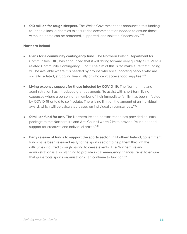• **£10 million for rough sleepers.** The Welsh Government has announced this funding to "enable local authorities to secure the accommodation needed to ensure those without a home can be protected, supported, and isolated if necessary."<sup>78</sup>

#### **Northern Ireland**

- **Plans for a community contingency fund.** The Northern Ireland Department for Communities (DfC) has announced that it will "bring forward very quickly a COVID-19 related Community Contingency Fund." The aim of this is "to make sure that funding will be available where it is needed by groups who are supporting people who are socially isolated, struggling financially or who can't access food supplies."79
- **Living expense support for those infected by COVID-19.** The Northern Ireland administration has introduced grant payments "to assist with short-term living expenses where a person, or a member of their immediate family, has been infected by COVID-19 or told to self-isolate. There is no limit on the amount of an individual award, which will be calculated based on individual circumstances."80
- **£1million fund for arts.** The Northern Ireland administration has provided an initial package to the Northern Ireland Arts Council worth £1m to provide "much-needed support for creatives and individual artists."81
- **Early release of funds to support the sports sector.** In Northern Ireland, government funds have been released early to the sports sector to help them through the difficulties incurred through having to cease events. The Northern Ireland administration is also planning to provide initial emergency financial relief to ensure that grassroots sports organisations can continue to function.<sup>82</sup>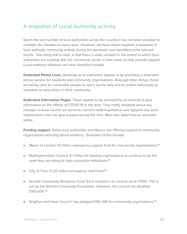### A snapshot of Local Authority activity

Given the vast number of local authorities across the country it has not been possible to consider the situation in every area. However, we have drawn together a snapshot of local authority community activity during the pandemic and identified some relevant trends. One thing that is clear, is that there is wide variation in the extent to which local authorities are working with the community sector in their areas to help provide support. Local authority initiatives we have identified include:

**Dedicated Phone Lines.** Generally local authorities appear to be providing a dedicated phone service for residents and community organisations. Amongst other things, these are being used for vulnerable people to reach out for help and to enable individuals to volunteer to help others in their community.

**Dedicated Information Pages.** These appear to be provided by all councils to give information on the effects of COVID-19 in the area. They notify residents about any changes to local council run services, current medical guidance and signpost any local organisations that can give support during this time. Most also detail how to volunteer safely.

**Funding support.** Some local authorities and Mayors are offering support to community organisations worrying about solvency. Examples of this include:

- Mayor of London: £1 million emergency support fund for civil society organisations. $83$
- Nottinghamshire Council: £1 million for existing organisations to continue to do the work they are doing to help vulnerable individuals.<sup>84</sup>
- City of York: £1.25 million emergency relief fund.<sup>85</sup>
- Norfolk Community Response Fund: Each recipient can receive up to £1000. This is run by the Norfolk Community Foundation. However, the council has donated £100,000.86
- Brighton and Hove Council: has pledged £150,000 for community organisations.  $87$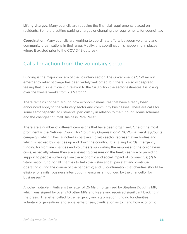**Lifting charges.** Many councils are reducing the financial requirements placed on residents. Some are cutting parking charges or changing the requirements for council tax.

**Coordination.** Many councils are working to coordinate efforts between voluntary and community organisations in their area. Mostly, this coordination is happening in places where it existed prior to the COVID-19 outbreak.

### Calls for action from the voluntary sector

Funding is the major concern of the voluntary sector. The Government's £750 million emergency relief package has been widely welcomed, but there is also widespread feeling that it is insufficient in relation to the £4.3 billion the sector estimates it is losing over the twelve weeks from 20 March.<sup>88</sup>

There remains concern around how economic measures that have already been announced apply to the voluntary sector and community businesses. There are calls for some sector-specific adjustments, particularly in relation to the furlough, loans schemes and the changes to Small Business Rate Relief.

There are a number of different campaigns that have been organised. One of the most prominent is the National Council for Voluntary Organisations' (NCVO) #EveryDayCounts campaign, which it has launched in partnership with sector representative bodies and which is backed by charities up and down the country. It is calling for: '(1) Emergency funding for frontline charities and volunteers supporting the response to the coronavirus crisis, especially where they are alleviating pressure on the health service or providing support to people suffering from the economic and social impact of coronavirus; (2) A 'stabilisation fund' for all charities to help them stay afloat, pay staff and continue operating during the course of the pandemic; and (3) confirmation that charities should be eligible for similar business interruption measures announced by the chancellor for businesses'.<sup>89</sup>

Another notable initiative is the letter of 25 March organised by Stephen Doughty MP, which was signed by over 240 other MPs and Peers and received significant backing in the press. The letter called for: emergency and stabilisation funding for charities, voluntary organisations and social enterprises; clarification as to if and how economic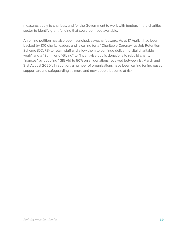measures apply to charities; and for the Government to work with funders in the charities sector to identify grant funding that could be made available.

An online petition has also been launched: savecharities.org. As at 17 April, it had been backed by 100 charity leaders and is calling for a "Charitable Coronavirus Job Retention Scheme (CCJRS) to retain staff and allow them to continue delivering vital charitable work" and a "Summer of Giving" to "incentivise public donations to rebuild charity finances" by doubling "Gift Aid to 50% on all donations received between 1st March and 31st August 2020". In addition, a number of organisations have been calling for increased support around safeguarding as more and new people become at risk.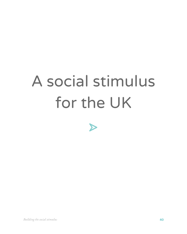# A social stimulus for the UK

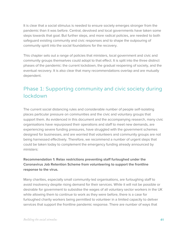It is clear that a social stimulus is needed to ensure society emerges stronger from the pandemic than it was before. Central, devolved and local governments have taken some steps towards that goal. But further steps, and more radical policies, are needed to both safeguard existing community and civic responses and to shape the outpouring of community spirit into the social foundations for the recovery.

This chapter sets out a range of policies that ministers, local government and civic and community groups themselves could adopt to that effect. It is split into the three distinct phases of the pandemic: the current lockdown, the gradual reopening of society, and the eventual recovery. It is also clear that many recommendations overlap and are mutually dependent.

## Phase 1: Supporting community and civic society during lockdown

The current social distancing rules and considerable number of people self-isolating places particular pressure on communities and the civic and voluntary groups that support them. As evidenced in this document and the accompanying research, many civic organisations have repurposed their operations and staff to meet new demands, are experiencing severe funding pressures, have struggled with the government schemes designed for businesses, and are worried that volunteers and community groups are not being harnessed effectively. Therefore, we recommend a number of urgent steps that could be taken today to complement the emergency funding already announced by ministers:

#### **Recommendation 1: Relax restrictions preventing staff furloughed under the Coronavirus Job Retention Scheme from volunteering to support the frontline response to the virus.**

Many charities, especially small community-led organisations, are furloughing staff to avoid insolvency despite rising demand for their services. While it will not be possible or desirable for government to subsidise the wages of all voluntary sector workers in the UK while allowing them to continue to work as they were before, there is a case for furloughed charity workers being permitted to volunteer in a limited capacity to deliver services that support the frontline pandemic response. There are number of ways that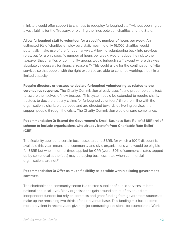ministers could offer support to charities to redeploy furloughed staff without opening up a vast liability for the Treasury, or blurring the lines between charities and the State:

**Allow furloughed staff to volunteer for a specific number of hours per week.** An estimated 9% of charities employ paid staff, meaning only 16,000 charities would potentially make use of the furlough anyway. Allowing volunteering back into previous roles, but for a only specific number of hours per week, would reduce the risk to the taxpayer that charities or community groups would furlough staff except where this was absolutely necessary for financial reasons.<sup>90</sup> This could allow for the continuation of vital services so that people with the right expertise are able to continue working, albeit in a limited capacity.

**Require directors or trustees to declare furloughed volunteering as related to the coronavirus response.** The Charity Commission already uses fit and proper persons tests to assure themselves of new trustees. This system could be extended to require charity trustees to declare that any claims for furloughed volunteers' time are in line with the organisation's charitable purpose and are directed towards delivering services that support people through the crisis. The Charity Commission would ensure compliance.

**Recommendation 2: Extend the Government's Small Business Rate Relief (SBRR) relief scheme to include organisations who already benefit from Charitable Rate Relief (CRR).**

The flexibility applied to certain businesses around SBRR, for which a 100% discount is available this year, means that community and civic organisations who would be eligible for SBRR but who in normal times applied for CRR (worth 80% of commercial rates topped up by some local authorities) may be paying business rates when commercial organisations are not.<sup>91</sup>

#### **Recommendation 3: Offer as much flexibility as possible within existing government contracts.**

The charitable and community sector is a trusted supplier of public services, at both national and local level. Many organisations gain around a third of revenue from independent funders but rely on contracts and grant funding from government sources to make up the remaining two thirds of their revenue base. This funding mix has become more prevalent in recent years given major contracting decisions, for example the Work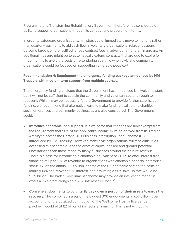Programme and Transforming Rehabilitation. Government therefore has considerable ability to support organisations through its contract and procurement terms.

In order to safeguard organisations, ministers could: immediately move to monthly rather than quarterly payments to aid cash flow in voluntary organisations; relax or suspend outcome targets where justified; or pay contract fees in advance rather than in arrears. An additional measure might be to automatically extend contracts that are due to expire for three months to avoid the costs of re-tendering at a time when civic and community organisations could be focused on supporting vulnerable people.<sup>92</sup>

#### **Recommendation 4: Supplement the emergency funding package announced by HM Treasury with medium-term support from multiple sources.**

The emergency funding package that the Government has announced is a welcome start, but it will not be sufficient to sustain the community and voluntary sector through to recovery. While it may be necessary for the Government to provide further stabilisation funding, we recommend that alternative ways to make funding available to charities, social enterprises and community businesses are also considered. The Government could:

- **Introduce charitable loan support.** It is welcome that charities are now exempt from the requirement that 50% of the applicant's income must be derived from its Trading Activity to access the Coronavirus Business Interruption Loan Scheme (CBILS) introduced by HM Treasury. However, many civic organisations still face difficulties accessing this scheme due to the costs of capital applied and greater potential uncertainties than those faced by many businesses around their future revenue. There is a case for introducing a charitable equivalent of CBILS to offer interest-free financing of up to 10% of revenue to organisations with charitable or social enterprise status. Given the annual £50 billion income of the UK charitable sector, the costs of loaning 10% of turnover at 0% interest, and assuming a 50% take-up rate would be £2.5 billion. The Welsh Government scheme may provide an interesting model: it offers a 75% grant alongside a 25% interest free Ioan.<sup>93</sup>
- **Convene endowments to voluntarily pay down a portion of their assets towards the recovery.** The combined assets of the biggest 300 endowments is £67 billion. Even accounting for the outsized contribution of the Wellcome Trust, a five per cent paydown would elicit £2 billion of immediate financing. This is not without its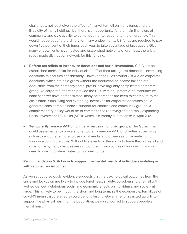challenges, not least given the effect of market turmoil on many funds and the illiquidity of many holdings, but there is an opportunity for the main financiers of community and civic activity to come together to respond to the emergency. This would not be out of the ordinary for many endowments: US funds are required to pay down five per cent of their funds each year to take advantage of tax support. Given many endowments have trusted and established networks of grantees, there is a ready-made distribution network for this funding.

- **Reform tax reliefs to incentivise donations and social investment.** Gift Aid is an established mechanism for individuals to offset their tax against donations, increasing donations to charities considerably. However, the rules around Gift Aid on corporate donations, which are paid gross without the deduction of income tax and are deductible from the company's total profits, have arguably complicated corporate giving. As corporate efforts to provide the NHS with equipment or to manufacture hand sanitizer have demonstrated, many corporations are keen to contribute to the crisis effort. Simplifying and extending incentives for corporate donations could generate considerable financial support for charities and community groups. A complementary policy would be to commit to the renewing and possibly expanding Social Investment Tax Relief (SITR), which is currently due to lapse in April 2021.
- **Temporarily remove VAT on online advertising for civic groups.** The Government could use emergency powers to temporarily remove VAT for charities advertising online to encourage more to use social media and online search advertising to fundraise during the crisis. Without live events or the ability to trade through retail and other outlets, many charities are without their main sources of fundraising and will need to use innovative routes to gain new funds.

#### **Recommendation 5: Act now to support the mental health of individuals isolating or with reduced social contact.**

As we set out previously, evidence suggests that the psychological outcomes from the crisis and lockdown are likely to include loneliness, anxiety, boredom and grief, all with well-evidenced deleterious social and economic effects on individuals and society at large. This is likely to be in both the short and long term, as the economic externalities of covid-19 mean that the effects could be long lasting. Government has acted quickly to support the physical health of the population; we must now act to support people's mental health.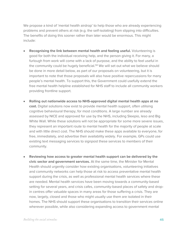We propose a kind of 'mental health airdrop' to help those who are already experiencing problems and prevent others at risk (e.g. the self-isolating) from slipping into difficulties. The benefits of doing this sooner rather than later would be enormous. This might include:

- **Recognising the link between mental health and feeling useful.** Volunteering is good for both the individual receiving help, and the person giving it. For many, a furlough from work will come with a lack of purpose, and the ability to feel useful in the community could be hugely beneficial.<sup>94</sup> We will set out what we believe should be done in more detail below, as part of our proposals on volunteering, but it is important to note that those proposals will also have positive repercussions for many people's mental health. To support this, the Government could usefully extend the free mental health helpline established for NHS staff to include all community workers providing frontline support.
- **Rolling out nationwide access to NHS-approved digital mental health apps at no cost.** Digital solutions now exist to provide mental health support, often utilising cognitive behavioural therapy, for most conditions. A large number are already assessed by NICE and approved for use by the NHS, including Sleepio, Ieso and Big White Wall. While these solutions will not be appropriate for some more severe issues, they represent an important route to mental health for the majority of people at scale and with little direct cost. The NHS should make these apps available to everyone, for free, immediately, and advertise their availability widely. For example, GPs could use existing text messaging services to signpost these services to members of their community.
- **Reviewing how access to greater mental health support can be delivered by the civic sector and government services.** At the same time, the Minister for Mental Health should urgently consider how existing organisations, volunteering initiatives and community networks can help those at risk to access preventative mental health support during the crisis, as well as professional mental health services where these are needed. Mental health services have been moving towards a community-based setting for several years, and crisis cafes, community-based places of safety and dropin centres offer valuable spaces in many areas for those suffering a crisis. They are now, largely, closed and those who might usually use them are isolated in their homes. The NHS should support these organisations to transition their services online wherever possible, while also considering expanding access to government mental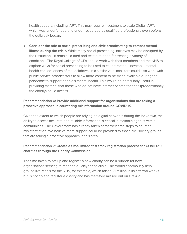health support, including IAPT. This may require investment to scale Digital IAPT, which was underfunded and under-resourced by qualified professionals even before the outbreak began.

• **Consider the role of social prescribing and civic broadcasting to combat mental illness during the crisis.** While many social prescribing initiatives may be disrupted by the restrictions, it remains a tried and tested method for treating a variety of conditions. The Royal College of GPs should work with their members and the NHS to explore ways for social prescribing to be used to counteract the inevitable mental health consequences of the lockdown. In a similar vein, ministers could also work with public service broadcasters to allow more content to be made available during the pandemic to support people's mental health. This would be particularly useful in providing material that those who do not have internet or smartphones (predominantly the elderly) could access.

#### **Recommendation 6: Provide additional support for organisations that are taking a proactive approach in countering misinformation around COVID-19.**

Given the extent to which people are relying on digital networks during the lockdown, the ability to access accurate and reliable information is critical in maintaining trust within communities. The Government has already taken some welcome steps to counter misinformation. We believe more support could be provided to those civil society groups that are taking a proactive approach in this area.

#### **Recommendation 7: Create a time-limited fast track registration process for COVID-19 charities through the Charity Commission.**

The time taken to set up and register a new charity can be a burden for new organisations seeking to respond quickly to the crisis. This would enormously help groups like Meals for the NHS, for example, which raised £1 million in its first two weeks but is not able to register a charity and has therefore missed out on Gift Aid.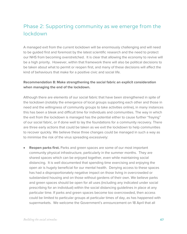### Phase 2: Supporting community as we emerge from the lockdown

A managed exit from the current lockdown will be enormously challenging and will need to be guided first and foremost by the latest scientific research and the need to protect our NHS from becoming overstretched. It is clear that allowing the economy to revive will be a high priority. However, within that framework there will also be political decisions to be taken about what to permit or reopen first, and many of these decisions will affect the kind of behaviours that make for a positive civic and social life.

#### **Recommendation 8: Make strengthening the social fabric an explicit consideration when managing the end of the lockdown.**

Although there are elements of our social fabric that have been strengthened in spite of the lockdown (notably the emergence of local groups supporting each other and those in need and the willingness of community groups to take activities online), in many instances this has been a bleak and difficult time for individuals and communities. The way in which the exit from the lockdown is managed has the potential either to cause further "fraying" of our social fabric, or if done well to lay the foundations for a community recovery. There are three early actions that could be taken as we exit the lockdown to help communities to recover quickly. We believe these three changes could be managed in such a way as to minimise the risk of the virus spreading excessively:

• **Reopen parks first.** Parks and green spaces are some of our most important community physical infrastructure, particularly in the summer months. They are shared spaces which can be enjoyed together, even while maintaining social distancing. It is well documented that spending time exercising and enjoying the open air is hugely beneficial for our mental health. Denying access to these spaces has had a disproportionately negative impact on those living in overcrowded or substandard housing and on those without gardens of their own. We believe parks and green spaces should be open for all uses (including any indicated under social prescribing for an individual) within the social distancing guidelines in place at any particular time. If parks and green spaces become too overcrowded, then access could be limited to particular groups at particular times of day, as has happened with supermarkets. We welcome the Government's announcement on 18 April that all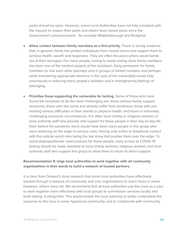parks should be open. However, some Local Authorities have not fully complied with the request to reopen their parks and others have closed parks since the Government's announcement - for example Middlesborough and Bridgend.

- **Allow contact between family members as a first priority.** There is strong evidence that, in general, family ties protect individuals from myriad harms and support them to achieve health, wealth and happiness. They are often the place where social bonds are at their strongest. For many people, having to avoid seeing close family members has been one of the hardest aspects of the lockdown. Early permission for family members to visit each other (perhaps only in groups of limited numbers and perhaps while maintaining appropriate distance in the case of the vulnerable) would help enormously in reducing many people's isolation and in strengthening feelings of belonging.
- **Prioritise those supporting the vulnerable for testing.** Some of those who have found the lockdown to be the most challenging are: those without family support structures; those who live alone and already suffer from loneliness; those with preexisting serious difficulties in their mental or physical health; and those in extremely challenging economic circumstances. It is often local charity or religious workers or local authority staff who provide vital support for these people in their day-to-day life. Even before the pandemic there would have been many people in this group who were teetering on the edge of serious crisis. Having only online or telephone contact with the outside world risks being the last straw that pushes them over the edge. To avoid disproportionate repercussions for these people, early access to COVID-19 testing should be made available to local charity workers, religious workers and local authority staff who support this group to allow them to return to direct support.

#### **Recommendation 9: Urge local authorities to work together with all community organisations in their wards to build a network of trusted partners.**

It is clear from Onward's local research that some local authorities have effectively worked through a network of community and civic organisations to reach those in need. However, others have not. We recommend that all local authorities use the crisis as a spur to work together more effectively with local groups to commission services locally and build lasting, trusting links. This would enable the local authority to better understand the response to the virus in every hyperlocal community, and to collaborate with community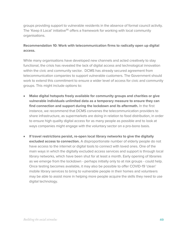groups providing support to vulnerable residents in the absence of formal council activity. The 'Keep it Local' initiative<sup>95</sup> offers a framework for working with local community organisations.

#### **Recommendation 10: Work with telecommunication firms to radically open up digital access.**

While many organisations have developed new channels and acted creatively to stay functional, the crisis has revealed the lack of digital access and technological innovation within the civic and community sector. DCMS has already secured agreement from telecommunication companies to support vulnerable customers. The Government should work to extend this commitment to ensure a wider level of access for civic and community groups. This might include options to:

- **Make digital hotspots freely available for community groups and charities or give vulnerable individuals unlimited data as a temporary measure to ensure they can find connection and support during the lockdown and its aftermath.** In the first instance, we recommend that DCMS convenes the telecommunication providers to share infrastructure, as supermarkets are doing in relation to food distribution, in order to ensure high quality digital access for as many people as possible and to look at ways companies might engage with the voluntary sector on a pro-bono basis.
- **If travel restrictions persist, re-open local library networks to give the digitally excluded access to connection.** A disproportionate number of elderly people do not have access to the internet or digital tools to connect with loved ones. One of the main ways in which the digitally excluded access services and support is through local library networks, which have been shut for at least a month. Early opening of libraries as we emerge from the lockdown - perhaps initially only to at risk groups - could help. Once testing becomes available, it may also be possible to offer COVID-19 'clean' mobile library services to bring to vulnerable people in their homes and volunteers may be able to assist more in helping more people acquire the skills they need to use digital technology.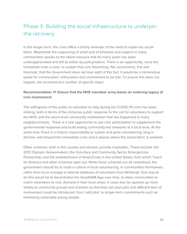### Phase 3: Building the social infrastructure to underpin the recovery

In the longer term, the crisis offers a timely reminder of the need to repair our social fabric. Meanwhile the outpouring of small acts of kindness and support in many communities speaks to the latent resource that for many years has been underappreciated and left to wither by policymakers. There is an opportunity, once the immediate crisis is over, to sustain that civic flourishing. We recommend, first and foremost, that the Government does not lose sight of this fact. It would be a tremendous waste for communities' enthusiasm and commitment to be lost. To ensure this does not happen, we recommend a number of specific steps:

#### **Recommendation 11: Ensure that the NHS volunteer army leaves an enduring legacy of civic involvement.**

The willingness of the public to volunteer to help during the COVID-19 crisis has been striking, both in terms of the immense public response to the call for volunteers to support the NHS, and the micro-level community mobilisation that has happened in many neighbourhoods. There is a real opportunity to use civic participation to supplement the governmental response and build lasting community-led networks at a local level. At the same time, there is a historic responsibility to sustain and grow volunteering, long in decline, well beyond the immediate crisis and in places where the social fabric is weakest.

Other schemes, both in this country and abroad, provide inspiration. These include: the 2012 Olympic Gamesmakers; the Voluntary and Community Sector Emergencies Partnership; and the establishment of AmeriCorps in the United States, from which Teach for America and other schemes span out. While these schemes are all centralised, the government should try to instill a culture of local volunteering, in communities themselves, rather than try to manage a national database of volunteers from Whitehall. One way to do this would be to decentralise the GoodSAM App over time, to allow communities to match volunteers to civic demand in their local areas. It could also be opened up more widely to community groups and charities so that they can post jobs and different tiers of involvement could be introduced, from 'odd jobs' to longer-term commitments such as mentoring vulnerable young people.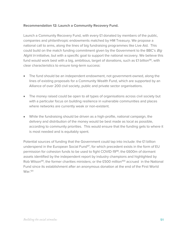#### **Recommendation 12: Launch a Community Recovery Fund.**

Launch a Community Recovery Fund, with every £1 donated by members of the public, companies and philanthropic endowments matched by HM Treasury. We propose a national call to arms, along the lines of big fundraising programmes like Live Aid. This could build on the match funding commitment given by the Government to the BBC's Big Night In initiative, but with a specific goal to support the national recovery. We believe this fund would work best with a big, ambitious, target of donations, such as  $\epsilon$ 1 billion<sup>96</sup>, with clear characteristics to ensure long-term success:

- The fund should be an independent endowment, not government-owned, along the lines of existing proposals for a Community Wealth Fund, which are supported by an Alliance of over 200 civil society, public and private sector organisations.
- The money raised could be open to all types of organisations across civil society but with a particular focus on building resilience in vulnerable communities and places where networks are currently weak or non-existent.
- While the fundraising should be driven as a high-profile, national campaign, the delivery and distribution of the money would be best made as local as possible, according to community priorities. This would ensure that the funding gets to where it is most needed and is equitably spent.

Potential sources of funding that the Government could tap into include: the £1 billion underspend in the European Social Fund<sup>97</sup>, for which precedent exists in the form of EU permission for cohesion funds to be used to fight COVID-19<sup>98</sup>; the £600m of dormant assets identified by the independent report by industry champions and highlighted by Rob Wilson<sup>99</sup>, the former charities ministers; or the £500 million<sup>100</sup> accrued in the National Fund since its establishment after an anonymous donation at the end of the First World War.101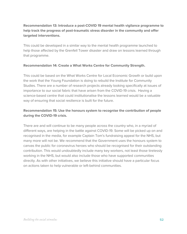#### **Recommendation 13: Introduce a post-COVID 19 mental health vigilance programme to help track the progress of post-traumatic stress disorder in the community and offer targeted interventions.**

This could be developed in a similar way to the mental health programme launched to help those affected by the Grenfell Tower disaster and draw on lessons learned through that programme.

#### **Recommendation 14: Create a What Works Centre for Community Strength.**

This could be based on the What Works Centre for Local Economic Growth or build upon the work that the Young Foundation is doing to rebuild the Institute for Community Studies. There are a number of research projects already looking specifically at issues of importance to our social fabric that have arisen from the COVID-19 crisis. Having a science-based centre that could institutionalise the lessons learned would be a valuable way of ensuring that social resilience is built for the future.

#### **Recommendation 15: Use the honours system to recognise the contribution of people during the COVID-19 crisis.**

There are and will continue to be many people across the country who, in a myriad of different ways, are helping in the battle against COVID-19. Some will be picked up on and recognised in the media, for example Captain Tom's fundraising appeal for the NHS, but many more will not be. We recommend that the Government uses the honours system to canvas the public for coronavirus heroes who should be recognised for their outstanding contribution. This would undoubtedly include many key workers, not least those tirelessly working in the NHS, but would also include those who have supported communities directly. As with other initiatives, we believe this initiative should have a particular focus on actions taken to help vulnerable or left-behind communities.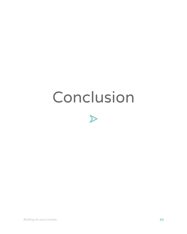## Conclusion

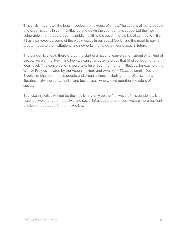This crisis has shown the best in society at the worst of times. The actions of many people and organisations in communities up and down the country have supported the most vulnerable and helped prevent a public health crisis becoming a crisis of connection. But it has also revealed some of the weaknesses in our social fabric, and the need to pay far greater heed to the institutions and networks that underpin our places in future.

The pandemic should therefore be the start of a national conversation, about what kind of society we want to live in and how we can strengthen the ties that bind us together at a local level. This conversation should take inspiration from other initiatives, for example the Weave Project, initiated by the Aspen Institute and New York Times columnist David Brooks, to champion those people and organisations, including nonprofits, schools, libraries, activist groups, media, and businesses, who weave together the fabric of society.

Because this crisis will not be the last. It may only be the first wave of this pandemic. It is essential we strengthen the civic and social infrastructure to ensure we are more resilient and better equipped for the next crisis.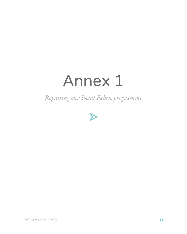## Annex 1

*Repairing our Social Fabric programme*

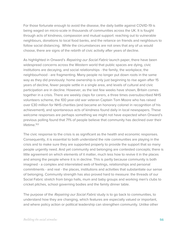For those fortunate enough to avoid the disease, the daily battle against COVID-19 is being waged on micro-scale in thousands of communities across the UK. It is fought through acts of kindness, compassion and mutual support: reaching out to vulnerable neighbours, donations to local food banks, and the reliance on friends and neighbours to follow social distancing. While the circumstances are not ones that any of us would choose, there are signs of the rebirth of civic activity after years of decline.

As highlighted in Onward's Repairing our Social Fabric launch paper, there have been widespread concerns across the Western world that public spaces are dying, civic institutions are decaying, and social relationships - the family, the workplace, the neighbourhood - are fragmenting. Many people no longer put down roots in the same way as they did previously: home ownership is only just beginning to rise again after 15 years of decline, fewer people settle in a single area, and levels of cultural and civic participation are in decline. However, as the last few weeks have shown, Britain comes together in a crisis. There are weekly claps for carers, a three times oversubscribed NHS volunteers scheme, the 100 year-old war veteran Captain Tom Moore who has raised over £30 million for NHS charities (and became an honorary colonel in recognition of his achievement), and spontaneous acts of kindness found daily in local newspapers. These welcome responses are perhaps something we might not have expected when Onward's previous polling found that 71% of people believe that community has declined over their lifetime. 102

The civic response to the crisis is as significant as the health and economic responses. Consequently, it is essential to both understand the role communities are playing in the crisis and to make sure they are supported properly to provide the support that so many people urgently need. And yet community and belonging are contested concepts; there is little agreement on which elements of it matter, much less how to revive it in the places and among the people where it is in decline. This is partly because community is both imagined - a complex and interrelated web of feelings, relationships and personal commitments - and real - the places, institutions and activities that substantiate our sense of belonging. Community strength has also proved hard to measure: the threads of our Social Fabric stretch from bingo halls, mum and baby groups and working men's clubs to cricket pitches, school governing bodies and the family dinner table.

The purpose of the Repairing our Social Fabric study is to go back to communities, to understand how they are changing, which features are especially valued or important, and where policy action or political leadership can strengthen community. Unlike other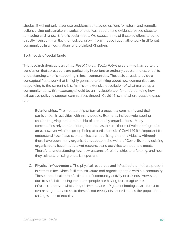studies, it will not only diagnose problems but provide options for reform and remedial action, giving policymakers a series of practical, popular and evidence-based steps to reimagine and renew Britain's social fabric. We expect many of these solutions to come directly from communities themselves, drawn from in-depth qualitative work in different communities in all four nations of the United Kingdom.

#### **Six threads of social fabric**

The research done as part of the Repairing our Social Fabric programme has led to the conclusion that six aspects are particularly important to ordinary people and essential to understanding what is happening in local communities. These six threads provide a conceptual framework that is highly germane to thinking about how communities are responding to the current crisis. As it is an extensive description of what makes up a community today, this taxonomy should be an invaluable tool for understanding how exhaustive policy to support communities through Covid-19 is, and where possible gaps are:

- 1. **Relationships.** The membership of formal groups in a community and their participation in activities with many people. Examples include volunteering, charitable giving and membership of community organisations. Many communities rely on the older generation as the backbone of volunteering in the area, however with this group being at particular risk of Covid-19 it is important to understand how these communities are mobilising other individuals. Although there have been many organisations set up in the wake of Covid-19, many existing organisations have had to pivot resources and activities to meet new needs. Therefore, understanding how new patterns of relationships are forming, and how they relate to existing ones, is important.
- 2. **Physical infrastructure.** The physical resources and infrastructure that are present in communities which facilitate, structure and organise people within a community. These are critical to the facilitation of community activity of all kinds. However, due to social distancing measures people are having to reimagine the infrastructure over which they deliver services. Digital technologies are thrust to centre stage, but access to these is not evenly distributed across the population, raising issues of equality.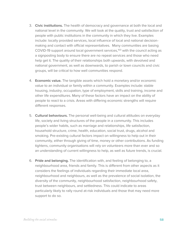- 3. **Civic institutions.** The health of democracy and governance at both the local and national level in the community. We will look at the quality, trust and satisfaction of people with public institutions in the community in which they live. Examples include: locally provided services, local influence of local and national decisionmaking and contact with official representatives. Many communities are basing COVID-19 support around local government services, $103$  with the council acting as a signposting body to ensure there are no repeat services and those who need help get it. The quality of their relationships both upwards, with devolved and national government, as well as downwards, to parish or town councils and civic groups, will be critical to how well communities respond.
- 4. **Economic value.** The tangible assets which hold a monetary and/or economic value to an individual or family within a community. Examples include: stable housing, industry, occupation, type of employment, skills and training, income and other life expenditures. Many of these factors have an impact on the ability of people to react to a crisis. Areas with differing economic strengths will require different responses.
- 5. **Cultural behaviours.** The personal well-being and cultural attitudes on everyday life, society and living structures of the people in a community. This includes people's wider habits, such as marriage and relationships, life satisfaction, household structure, crime, health, education, social trust, drugs, alcohol and smoking. Pre-existing cultural factors impact on willingness to help out in their community, either through giving of time, money or other contributions. As funding tightens, community organisations will rely on volunteers more than ever and so an understanding of current willingness to help, as well as future trends, is crucial.
- 6. **Pride and belonging.** The identification with, and feeling of belonging to, a neighbourhood area, friends and family. This is different from other aspects as it considers the feelings of individuals regarding their immediate local area, neighbourhood and neighbours, as well as the prevalence of social isolation, the diversity of the community, neighbourhood satisfaction, neighbourhood safety, trust between neighbours, and settledness. This could indicate to areas particularly likely to rally round at-risk individuals and those that may need more support to do so.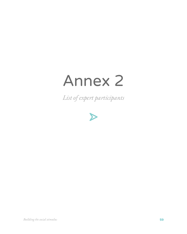## Annex 2

*List of expert participants*



*Building the social stimulus* **59**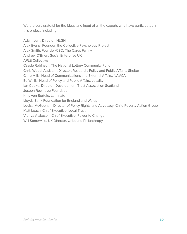We are very grateful for the ideas and input of all the experts who have participated in this project, including:

Adam Lent, Director, NLGN Alex Evans, Founder, the Collective Psychology Project Alex Smith, Founder/CEO, The Cares Family Andrew O'Brien, Social Enterprise UK APLE Collective Cassie Robinson, The National Lottery Community Fund Chris Wood, Assistant Director, Research, Policy and Public Affairs, Shelter Clare Mills, Head of Communications and External Affairs, NAVCA Ed Wallis, Head of Policy and Public Affairs, Locality Ian Cooke, Director, Development Trust Association Scotland Joseph Rowntree Foundation Kitty von Bertele, Luminate Lloyds Bank Foundation for England and Wales Louisa McGeehan, Director of Policy Rights and Advocacy, Child Poverty Action Group Matt Leach, Chief Executive, Local Trust Vidhya Alakeson, Chief Executive, Power to Change Will Somerville, UK Director, Unbound Philanthropy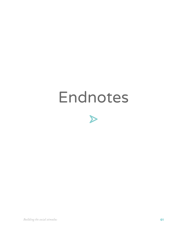## Endnotes

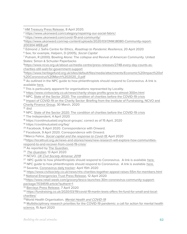<sup>1</sup> [HM Treasury Press Release,](https://www.gov.uk/government/news/chancellor-sets-out-extra-750-million-coronavirus-funding-for-frontline-charities) 8 April 2020.

<sup>2</sup> <https://www.ukonward.com/category/repairing-our-social-fabric/>

<sup>3</sup> <https://www.ukonward.com/covid-19-and-community/>

4[https://www.ukonward.com/wp-content/uploads/2020/03/ONWJ8080-Community-report-](https://www.ukonward.com/wp-content/uploads/2020/03/ONWJ8080-Community-report-200304-WEB.pdf)[200304-WEB.pdf](https://www.ukonward.com/wp-content/uploads/2020/03/ONWJ8080-Community-report-200304-WEB.pdf)

<sup>5</sup> Edmond J. Safra Centre for Ethics, Roadmap to Pandemic Resilience, 20 April 2020

<sup>6</sup> See, for example, Halpern, D (2005), Social Capital

<sup>7</sup> Putnam, R (2000). Bowling Alone: The collapse and Revival of American Community. United States: Simon & Schuster Paperbacks

8[https://www.ncvo.org.uk/about-us/media-centre/press-releases/2748-every-day-counts-as](https://www.ncvo.org.uk/about-us/media-centre/press-releases/2748-every-day-counts-as-charities-still-wait-for-government-support)[charities-still-wait-for-government-support](https://www.ncvo.org.uk/about-us/media-centre/press-releases/2748-every-day-counts-as-charities-still-wait-for-government-support)

<sup>9</sup>[https://www.heritagefund.org.uk/sites/default/files/media/attachments/Economic%20Impact%20of](https://www.heritagefund.org.uk/sites/default/files/media/attachments/Economic%20Impact%20of%20Coronovirus%20March%202020_0.pdf) [%20Coronovirus%20March%202020\\_0.pdf](https://www.heritagefund.org.uk/sites/default/files/media/attachments/Economic%20Impact%20of%20Coronovirus%20March%202020_0.pdf)

 $10$  As outlined in the NPC quide to how philanthropists should respond to Coronavirus. A link is available [here.](https://www.thinknpc.org/resource-hub/coronavirus-guide/)

<sup>11</sup> This is particularly apparent for organisations represented by Locality.

<sup>12</sup> <https://www.civilsociety.co.uk/news/charity-shops-profits-grow-to-almost-300m.html>

<sup>13</sup> NPC, [State of the Sector 2020: The condition of charities before the COVID-19 crisis](https://www.thinknpc.org/resource-hub/state-of-the-sector-2020/)

<sup>14</sup> Impact of COVID-19 on the Charity Sector: Briefing from the Institute of Fundraising, NCVO and

[Charity Finance Group,](https://www.institute-of-fundraising.org.uk/library/impact-of-covid-19-on-the-charity-sector-briefing-from-the/) 30 March, 2020

 $15$  *Ibid.* 

<sup>16</sup> NPC, [State of the Sector 2020: The condition of charities before the COVID-19 crisis](https://www.thinknpc.org/resource-hub/state-of-the-sector-2020/)

<sup>17</sup> The Independent, 4 April 2020

<sup>18</sup> https://covidmutualaid.org/local-groups/, correct as of 15 April, 2020

<sup>19</sup> https://covidmutualaid.org/faq/

<sup>20</sup> Facebook, 9 April 2020. Correspondence with Onward.

<sup>21</sup> Facebook, 9 April 2020. Correspondence with Onward.

<sup>22</sup>Marco Felice, *Social capital and the response to Covid-19*, April 2020

23[https://localtrust.org.uk/news-and-stories/news/new-research-will-explore-how-communities](https://localtrust.org.uk/news-and-stories/news/new-research-will-explore-how-communities-respond-to-and-recover-from-covid-19-crisis/)[respond-to-and-recover-from-covid-19-crisis/](https://localtrust.org.uk/news-and-stories/news/new-research-will-explore-how-communities-respond-to-and-recover-from-covid-19-crisis/)

<sup>24</sup> As reported by [The Guardian.](https://www.theguardian.com/world/2020/mar/25/astonishing-170000-people-sign-up-to-be-nhs-volunteers-in-15-hours-coronavirus)

<sup>25</sup> [The Guardian,](https://www.theguardian.com/society/2020/apr/13/a-million-volunteer-to-help-nhs-and-others-during-covid-19-lockdown) 13 April 2020

<sup>26</sup> NCVO, [UK Civil Society Almanac 2019](https://data.ncvo.org.uk/volunteering/demographics/#by-age)

<sup>27</sup> NPC guide to how philanthropists should respond to Coronavirus. A link is available [here.](https://www.thinknpc.org/resource-hub/coronavirus-guide/)

<sup>28</sup> NPC guide to how philanthropists should respond to Coronavirus. A link is available [here.](https://www.thinknpc.org/resource-hub/coronavirus-guide/)

<sup>29</sup> Savanta, [Coronavirus daily tracker:](https://savanta.com/view/coronavirus-worry-at-highest-levels-for-over-a-week/) April 15th 2020

<sup>30</sup> <https://www.civilsociety.co.uk/news/nhs-charities-together-appeal-raises-55m-for-members.html>

<sup>31</sup> [National Emergencies Trust Press Release,](https://nationalemergenciestrust.org.uk/net-welcomes-the-duke-of-cambridge-as-patron/) 12 April 2020

32[https://www.retail-week.com/grocery/tesco-launches-30m-coronavirus-community-support](https://www.retail-week.com/grocery/tesco-launches-30m-coronavirus-community-support-package/7034519.article?authent=1)[package/7034519.article?authent=1](https://www.retail-week.com/grocery/tesco-launches-30m-coronavirus-community-support-package/7034519.article?authent=1)

<sup>33</sup> [Barclays Press Release,](https://home.barclays/news/press-releases/2020/04/barclays-launches-p100-million-covid-19-community-aid-package/) 7 April 2020

<sup>34</sup> [https://fundraising.co.uk/2020/03/19/covid-19-martin-lewis-offers-1m-fund-for-small-and-local](https://fundraising.co.uk/2020/03/19/covid-19-martin-lewis-offers-1m-fund-for-small-and-local-charities/)[charities/](https://fundraising.co.uk/2020/03/19/covid-19-martin-lewis-offers-1m-fund-for-small-and-local-charities/)

35 World Health Organisation, [Mental Health and COVID-19](http://www.euro.who.int/en/health-topics/noncommunicable-diseases/mental-health/data-and-resources/mental-health-and-covid-19)

<sup>36</sup> Multidisciplinary research priorities for the COVID-19 pandemic: a call for action for mental health [science,](https://www.thelancet.com/pdfs/journals/lanpsy/PIIS2215-0366(20)30168-1.pdf) 15 April 2020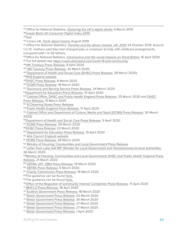<sup>37</sup> Office for National Statistics, *[Exploring the UK's digital divide](https://www.ons.gov.uk/peoplepopulationandcommunity/householdcharacteristics/homeinternetandsocialmediausage/articles/exploringtheuksdigitaldivide/2019-03-04)*, 4 March 2019

[Lloyds Bank UK Consumer Digital Index 2019](https://www.lloydsbank.com/assets/media/pdfs/banking_with_us/whats-happening/lb-consumer-digital-index-2019-report.pdf)

*Ibid* 

40 Carers UK, [Facts about Carers,](https://www.carersuk.org/images/Facts_about_Carers_2019.pdf) August 2019

<sup>41</sup> Office For National Statistics, [Families and the labour market, UK: 2019](https://www.ons.gov.uk/employmentandlabourmarket/peopleinwork/employmentandemployeetypes/articles/familiesandthelabourmarketengland/2019#balancing-work-and-family-life), 24 October 2019: Around 1 in 12 mothers said they had changed jobs or employer to help with childcare arrangements, compared with 1 in 50 fathers.

42 Office for National Statistics, [Coronavirus and the social impacts on Great Britain](https://www.ons.gov.uk/peoplepopulationandcommunity/healthandsocialcare/healthandwellbeing/bulletins/coronavirusandthesocialimpactsongreatbritain/16april2020), 16 April 2020

For full details see<https://www.ukonward.com/covid-19-and-community/>

[HM Treasury Press Release,](https://www.gov.uk/government/news/chancellor-sets-out-extra-750-million-coronavirus-funding-for-frontline-charities) 8 April 2020

[HM Treasury Press Release,](https://www.gov.uk/government/news/chancellor-announces-workers-support-package) 20 March 2020

[Department of Health and Social Care \(DHSC\) Press Release,](https://www.gov.uk/government/news/new-advice-to-support-mental-health-during-coronavirus-outbreak) 29 March 2020)

[NHS England website](https://www.england.nhs.uk/participation/get-involved/volunteering/nhs-volunteer-responders/)

[DHSC Press Release,](https://www.gov.uk/government/news/government-outlines-further-plans-to-support-health-and-social-care-system-in-fight-against-covid-19) 8 March 2020

[DCMS Press Release,](https://www.gov.uk/government/news/culture-secretary-works-with-charities-to-galvanise-covid-19-volunteers) 18 March 2020

[Disclosure and Barring Service Press Release,](https://www.gov.uk/government/news/covid-19-changes-to-dbs-id-checking-guidelines) 24 March 2020

[Department for Education Press Release,](https://www.gov.uk/government/news/covid-19-adoption-support-fund-scheme-to-help-vulnerable-families) 10 April 2020

[Cabinet Office, DHSC and Public Health England Press Release,](https://www.gov.uk/government/news/government-launches-coronavirus-information-service-on-whatsapp) 25 March 2020 an[d DHSC](https://www.gov.uk/government/news/next-stage-of-expanded-coronavirus-covid-19-public-information-campaign-launches) 

[Press Release,](https://www.gov.uk/government/news/next-stage-of-expanded-coronavirus-covid-19-public-information-campaign-launches) 15 March 2020

[10 Downing Street Press Release](https://www.gov.uk/government/publications/pm-letter-to-nation-on-coronavirus)

[Public Health England Press Release,](https://www.gov.uk/government/news/covid-19-mental-health-campaign-launches) 17 April 2020

 [Cabinet Office and Department of Culture, Media and Sport \(DCMS\) Press Release,](https://www.gov.uk/government/news/government-cracks-down-on-spread-of-false-coronavirus-information-online) 30 March 2020)

[Department of Health and Social Care Press Release,](https://www.gov.uk/government/news/nhs-works-with-tech-firms-to-help-care-home-residents-and-patients-connect-with-loved-ones) 9 April 2020

[DCMS Press Release,](https://www.gov.uk/government/news/government-agrees-measures-with-telecoms-companies-to-support-vulnerable-consumers-through-covid-19) 29 March 2020

[DHSC Press Release,](https://www.gov.uk/government/news/new-technology-challenge-to-support-people-who-are-isolating) 23 March 2020

- [Department for Education Press Release,](https://www.gov.uk/government/news/new-major-package-to-support-online-learning) 19 April 2020
- <sup>60</sup> [Arts Council England website](https://www.artscouncil.org.uk/covid19)

[DCMS Press Release,](https://www.gov.uk/government/news/culture-at-your-fingertips-from-home) 28 March 2020

[Ministry of Housing, Communities and Local Government Press Release](https://www.gov.uk/government/news/3-2-million-emergency-support-for-rough-sleepers-during-coronavirus-outbreak)

<sup>63</sup> Letter from Luke Hall MP, Minister for Local Government and Homelessness to local authorities,

26 March 2020

<sup>64</sup>Ministry of Housing, Communities and Local Government; DHSC and Public Health England Press [Release,](https://www.gov.uk/government/news/major-new-measures-to-protect-people-at-highest-risk-from-coronavirus) 21 March 2020

[DEFRA, DfT, DBEI Press Release,](https://www.gov.uk/government/news/supermarkets-to-join-forces-to-feed-the-nation) 19 March 2020

[DEFRA Press Release,](https://www.gov.uk/government/news/new-measures-on-night-time-deliveries-to-supermarkets-to-support-coronavirus-response) 9 March 2020

[Charity Commission Press Release,](https://www.gov.uk/government/news/regulators-urge-safe-giving-to-charities-as-communities-respond-to-coronavirus-pandemic) 19 March 2020

68The quidance can be found [here.](https://www.gov.uk/government/news/coronavirus-covid-19-guidance-for-the-charity-sector?utm_source=71b1d992-ff57-4381-8272-0d4fe502994b&utm_medium=email&utm_campaign=govuk-notifications&utm_content=immediate)

69The guidance can be found [here.](https://www.charitysorp.org/about-the-sorp/covid-19/)

Office of [the Regulator of Community Interest Companies Press Release,](https://www.gov.uk/government/news/coronavirus-covid-19-guidance-for-community-interest-companies-cics) 17 April 2020

[MHCLG Press Release,](https://www.gov.uk/government/speeches/communities-secretary-robert-jenrick-on-covid-19-response-18-april-2020) 18 April 2020

[Scottish Government Press Release,](https://www.gov.scot/news/helping-communities-affected-by-covid-19/) 18 March 2020

[Welsh Government Press Release,](https://gov.wales/first-minister-launches-looking-out-each-other-campaign-wales) 22 March 2020

[Welsh Government Press Release,](https://gov.wales/new-500-million-economic-resilience-fund-launched-wales) 30 March 2020

[Welsh Government Press Release,](https://gov.wales/multi-million-pound-boost-to-support-volunteers-and-wales-most-vulnerable) 27 March 2020

[Welsh Government Press Release,](https://gov.wales/multi-million-pound-boost-to-support-volunteers-and-wales-most-vulnerable) 27 March 2020

[Welsh Government Press Release,](https://gov.wales/18m-support-culture-creative-and-sport-sector-wales) 1 April 2020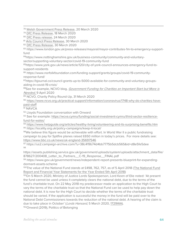<sup>78</sup> [Welsh Government Press Release,](https://gov.wales/10-million-emergency-support-rough-sleepers-wales-during-coronavirus-outbreak) 20 March 2020

<sup>79</sup> [DfC Press Release,](https://www.communities-ni.gov.uk/news/minister-outlines-initial-support-community-and-voluntary-groups-they-pull-together-respond-covid-19) 18 March 2020

<sup>80</sup> [DfC Press release,](https://www.communities-ni.gov.uk/news/minister-announces-further-support-those-affected-by-covid-19) 24 March 2020

<sup>81</sup> [Arts Council Press Release,](http://artscouncil-ni.org/news/message-from-arts-council-chief-executive) 30 March 2020

<sup>82</sup> [DfC Press Release,](https://www.communities-ni.gov.uk/news/minister-hargey-ensures-sports-sector-supported) 30 March 2020

<sup>83</sup> https://www.london.gov.uk/press-releases/mayoral/mayor-contributes-1m-to-emergency-supportfund

84https://www.nottinghamshire.gov.uk/business-community/community-and-voluntary-

sector/supporting-voluntary-sector/covid-19-community-fund

85https://www.york.gov.uk/news/article/120/city-of-york-council-announces-emergency-fund-tosupport-residents

<sup>86</sup> https://www.norfolkfoundation.com/funding-support/grants/groups/covid-19-communityresponse-fund/

87https://bjournal.co/council-grants-up-to-5000-available-for-community-and-voluntary-groupsaiding-in-covid-19-crisis/

88See for example, NCVO blog, Government Funding for Charities an Important Start but More is [Needed,](https://blogs.ncvo.org.uk/2020/04/09/government-funding-for-charities-an-important-start-but-more-is-needed/) 9 April 2020

<sup>89</sup> NCVO, Charity Policy Round-Up, 31 March 2020

<sup>90</sup> [https://www.ncvo.org.uk/practical-support/information/coronavirus/1748-why-do-charities-have](https://www.ncvo.org.uk/practical-support/information/coronavirus/1748-why-do-charities-have-paid-staff)[paid-staff](https://www.ncvo.org.uk/practical-support/information/coronavirus/1748-why-do-charities-have-paid-staff)

<sup>91</sup> NAVCA

92 Lloyds Foundation conversation with Onward

<sup>93</sup> See for example: [https://wcva.cymru/funding/social-investment-cymru/third-sector-resilience](https://wcva.cymru/funding/social-investment-cymru/third-sector-resilience-fund-for-wales/)[fund-for-wales/](https://wcva.cymru/funding/social-investment-cymru/third-sector-resilience-fund-for-wales/)

<sup>94</sup> <https://www.helpguide.org/articles/healthy-living/volunteering-and-its-surprising-benefits.htm> <sup>95</sup> https://locality.org.uk/policy-campaigns/keep-it-local/

96We believe this figure would be achievable with effort. In World War II a public fundraising campaign to pay for Spitfire planes raised £650 million in today's prices. For more details see: <https://www.bbc.co.uk/news/uk-england-35697546>

<sup>97</sup> <https://us2.campaign-archive.com/?u=38c419b74d4bb7775b5dcb565&id=d8e5fe5dee> 98

[https://assets.publishing.service.gov.uk/government/uploads/system/uploads/attachment\\_data/file/](https://assets.publishing.service.gov.uk/government/uploads/system/uploads/attachment_data/file/878627/200408_Letter_to_Partners__C-19_Response__FINAL.pdf) [878627/200408\\_Letter\\_to\\_Partners\\_\\_C-19\\_Response\\_\\_FINAL.pdf](https://assets.publishing.service.gov.uk/government/uploads/system/uploads/attachment_data/file/878627/200408_Letter_to_Partners__C-19_Response__FINAL.pdf)

<sup>99</sup> [https://www.gov.uk/government/news/independent-report-presents-blueprint-for-expanding](https://www.gov.uk/government/news/independent-report-presents-blueprint-for-expanding-dormant-assets-scheme)[dormant-assets-scheme](https://www.gov.uk/government/news/independent-report-presents-blueprint-for-expanding-dormant-assets-scheme)

100The value of the National Fund stands at £498, 762, 757, as of 5 April 2018 (The National Fund [Report and Financial Year Statements for the Year Ended 5th April 2018\)](http://apps.charitycommission.gov.uk/Accounts/Ends14/0001046814_AC_20180405_E_C.pdf)

<sup>101</sup>On 5 March 2020, Ministry of Justice Lords Spokesperson, Lord Keen of Elie noted: 'At present the fund cannot be used unless it completely clears the national debt, due to the terms of the fund's charitable trust. On 22 May 2018 my predecessor made an application to the High Court to vary the terms of the charitable trust so that the National Fund can be used to help pay down the national debt. It is now for the High Court to decide whether the terms of the charitable trust should be varied. If the application is successful the money in the fund will be paid over to the National Debt Commissioners towards the reduction of the national debt. A hearing of the claim is due to take place in October' (Lords Hansard, 5 March 2020, [1729WA\)](https://www.parliament.uk/business/publications/written-questions-answers-statements/written-question/Lords/2020-02-24/HL1729/). 102Onward (2019), Politics of Belonging

*Building the social stimulus* **64**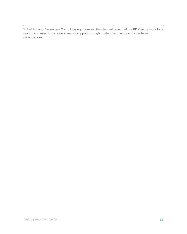103Barking and Dagenham Council brought forward the planned launch of the BD Can network by a month, and used it to create a web of support through trusted community and charitable organisations.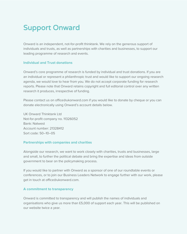## Support Onward

Onward is an independent, not-for-profit thinktank. We rely on the generous support of individuals and trusts, as well as partnerships with charities and businesses, to support our leading programme of research and events.

#### **Individual and Trust donations**

Onward's core programme of research is funded by individual and trust donations. If you are an individual or represent a philanthropic trust and would like to support our ongoing research agenda, we would love to hear from you. We do not accept corporate funding for research reports. Please note that Onward retains copyright and full editorial control over any written research it produces, irrespective of funding.

Please contact us on office@ukonward.com if you would like to donate by cheque or you can donate electronically using Onward's account details below.

UK Onward Thinktank Ltd Not-for-profit company no. 11326052 Bank: Natwest Account number: 21328412 Sort code: 50–10–05

#### **Partnerships with companies and charities**

Alongside our research, we want to work closely with charities, trusts and businesses, large and small, to further the political debate and bring the expertise and ideas from outside government to bear on the policymaking process.

If you would like to partner with Onward as a sponsor of one of our roundtable events or conferences, or to join our Business Leaders Network to engage further with our work, please get in touch at office@ukonward.com.

#### **A commitment to transparency**

Onward is committed to transparency and will publish the names of individuals and organisations who give us more than £5,000 of support each year. This will be published on our website twice a year.